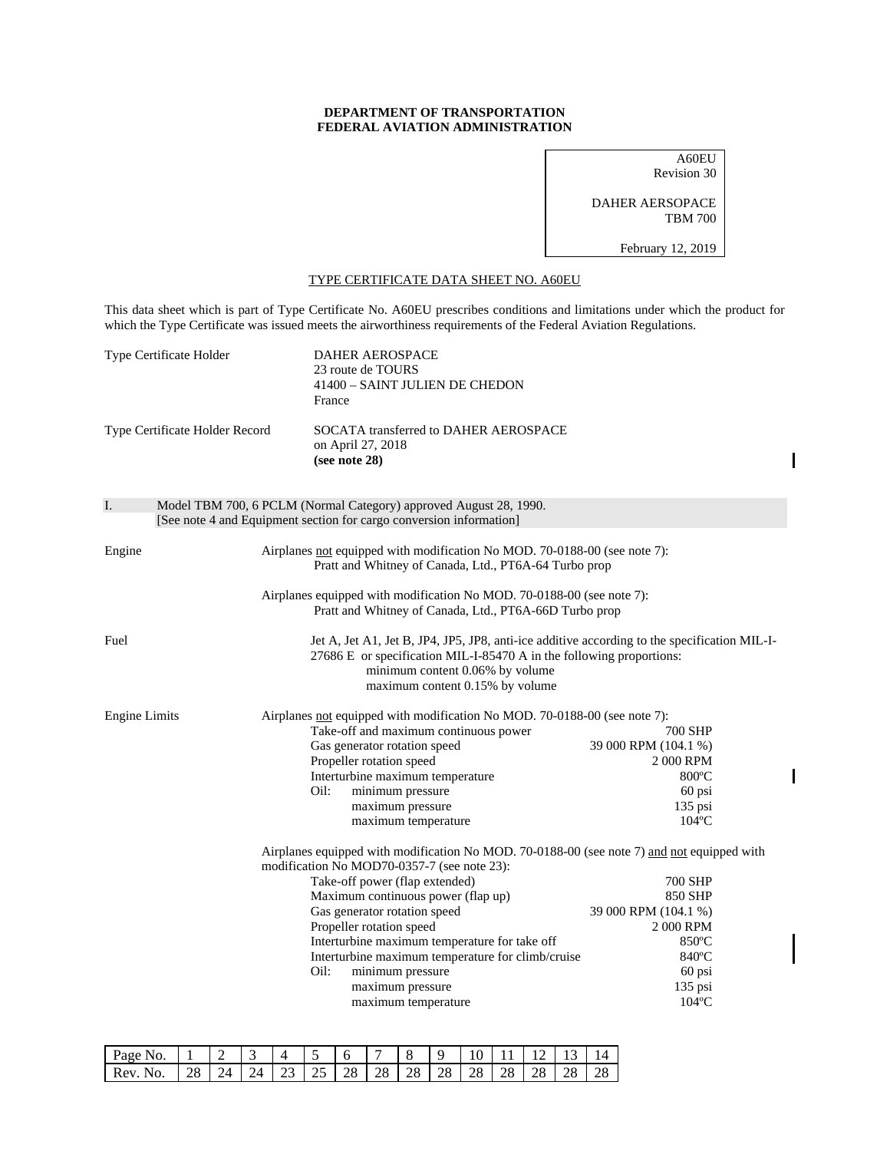## **DEPARTMENT OF TRANSPORTATION FEDERAL AVIATION ADMINISTRATION**

A60EU Revision 30 DAHER AERSOPACE TBM 700

February 12, 2019

## TYPE CERTIFICATE DATA SHEET NO. A60EU

This data sheet which is part of Type Certificate No. A60EU prescribes conditions and limitations under which the product for which the Type Certificate was issued meets the airworthiness requirements of the Federal Aviation Regulations.

| Type Certificate Holder        |  | <b>DAHER AEROSPACE</b><br>23 route de TOURS<br>41400 - SAINT JULIEN DE CHEDON<br>France                                                                                                                                                                                                                                                                                                                                                                    |                                                                                                                                |  |
|--------------------------------|--|------------------------------------------------------------------------------------------------------------------------------------------------------------------------------------------------------------------------------------------------------------------------------------------------------------------------------------------------------------------------------------------------------------------------------------------------------------|--------------------------------------------------------------------------------------------------------------------------------|--|
| Type Certificate Holder Record |  | SOCATA transferred to DAHER AEROSPACE<br>on April 27, 2018<br>(see note $28$ )                                                                                                                                                                                                                                                                                                                                                                             |                                                                                                                                |  |
| I.                             |  | Model TBM 700, 6 PCLM (Normal Category) approved August 28, 1990.<br>[See note 4 and Equipment section for cargo conversion information]                                                                                                                                                                                                                                                                                                                   |                                                                                                                                |  |
| Engine                         |  | Airplanes not equipped with modification No MOD. 70-0188-00 (see note 7):<br>Pratt and Whitney of Canada, Ltd., PT6A-64 Turbo prop                                                                                                                                                                                                                                                                                                                         |                                                                                                                                |  |
|                                |  | Airplanes equipped with modification No MOD. 70-0188-00 (see note 7):<br>Pratt and Whitney of Canada, Ltd., PT6A-66D Turbo prop                                                                                                                                                                                                                                                                                                                            |                                                                                                                                |  |
| Fuel                           |  | Jet A, Jet A1, Jet B, JP4, JP5, JP8, anti-ice additive according to the specification MIL-I-<br>27686 E or specification MIL-I-85470 A in the following proportions:<br>minimum content 0.06% by volume<br>maximum content 0.15% by volume                                                                                                                                                                                                                 |                                                                                                                                |  |
| <b>Engine Limits</b>           |  | Airplanes not equipped with modification No MOD. 70-0188-00 (see note 7):<br>Take-off and maximum continuous power<br>Gas generator rotation speed<br>Propeller rotation speed<br>Interturbine maximum temperature<br>Oil:<br>minimum pressure<br>maximum pressure<br>maximum temperature                                                                                                                                                                  | 700 SHP<br>39 000 RPM (104.1 %)<br>2 000 RPM<br>$800^{\circ}$ C<br>60 psi<br>$135$ psi<br>$104$ °C                             |  |
|                                |  | Airplanes equipped with modification No MOD. 70-0188-00 (see note 7) and not equipped with<br>modification No MOD70-0357-7 (see note 23):<br>Take-off power (flap extended)<br>Maximum continuous power (flap up)<br>Gas generator rotation speed<br>Propeller rotation speed<br>Interturbine maximum temperature for take off<br>Interturbine maximum temperature for climb/cruise<br>Oil:<br>minimum pressure<br>maximum pressure<br>maximum temperature | 700 SHP<br>850 SHP<br>39 000 RPM (104.1 %)<br>2 000 RPM<br>$850^{\circ}$ C<br>$840^{\circ}$ C<br>60 psi<br>135 psi<br>$104$ °C |  |

| Page.<br>No. |        |                  |           |    | $\overline{\phantom{0}}$ |    |    |    |          | ື  |    |          |    |    |
|--------------|--------|------------------|-----------|----|--------------------------|----|----|----|----------|----|----|----------|----|----|
| Rev.<br>NΩ   | ש<br>້ | <u> Д</u><br>- - | ۰Δ<br>- 1 | ري | $\tilde{\phantom{a}}$    | 28 | 28 | 28 | 28<br>∠∪ | ∠∪ | 28 | ١O<br>20 | 28 | 28 |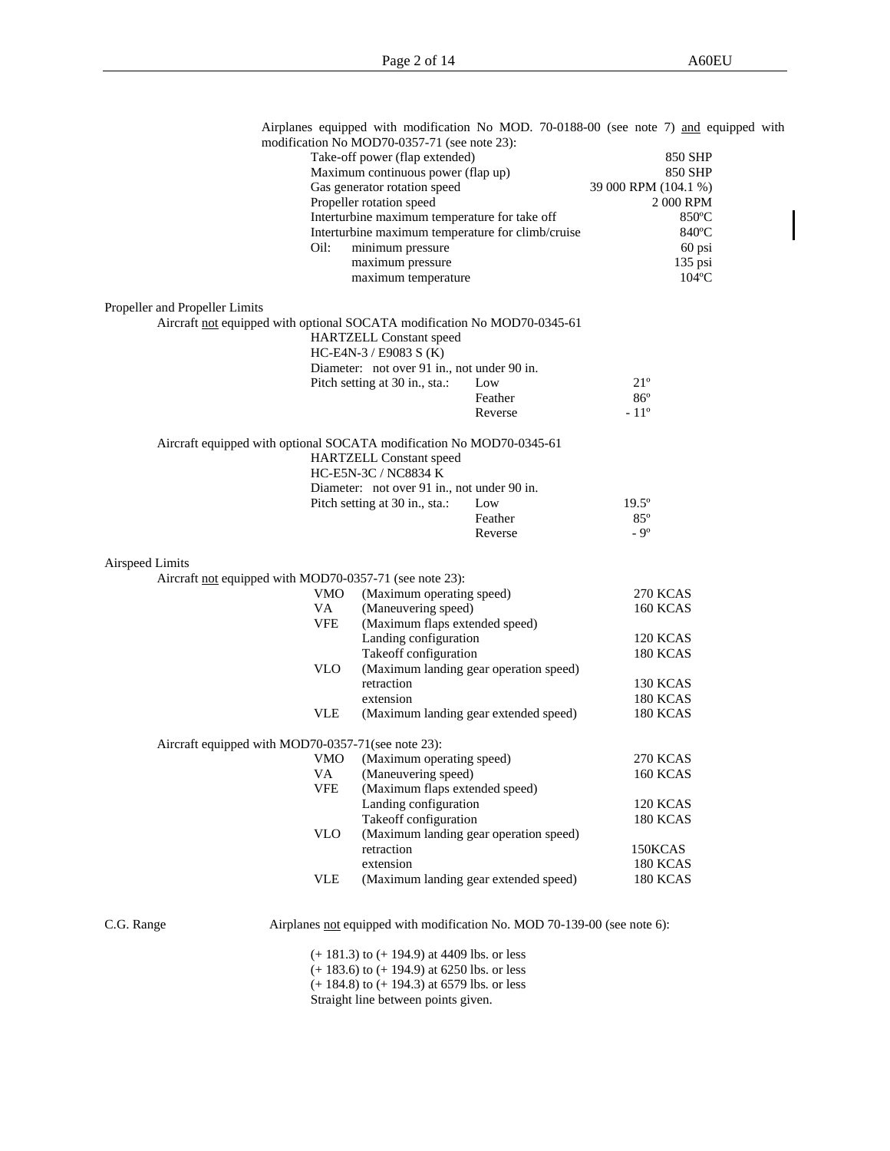| Take-off power (flap extended)<br>850 SHP<br>Maximum continuous power (flap up)<br>850 SHP<br>Gas generator rotation speed<br>39 000 RPM (104.1 %)<br>Propeller rotation speed<br>2 000 RPM<br>Interturbine maximum temperature for take off<br>850°C<br>Interturbine maximum temperature for climb/cruise<br>840°C<br>minimum pressure<br>Oil:<br>60 psi<br>maximum pressure<br>$135$ psi<br>maximum temperature<br>$104$ <sup>o</sup> C<br>Propeller and Propeller Limits<br>Aircraft not equipped with optional SOCATA modification No MOD70-0345-61<br><b>HARTZELL Constant speed</b><br>HC-E4N-3 / E9083 S (K)<br>Diameter: not over 91 in., not under 90 in.<br>$21^{\circ}$<br>Pitch setting at 30 in., sta.:<br>Low<br>$86^{\circ}$<br>Feather<br>$-11^{\circ}$<br>Reverse<br>Aircraft equipped with optional SOCATA modification No MOD70-0345-61<br><b>HARTZELL Constant speed</b><br>HC-E5N-3C / NC8834 K<br>Diameter: not over 91 in., not under 90 in.<br>$19.5^\circ$<br>Pitch setting at 30 in., sta.:<br>Low<br>$85^\circ$<br>Feather<br>$-9^\circ$<br>Reverse<br>Airspeed Limits<br>Aircraft not equipped with MOD70-0357-71 (see note 23):<br>(Maximum operating speed)<br>VMO<br>270 KCAS<br>VA<br>(Maneuvering speed)<br><b>160 KCAS</b><br><b>VFE</b><br>(Maximum flaps extended speed)<br>Landing configuration<br><b>120 KCAS</b><br>Takeoff configuration<br><b>180 KCAS</b><br><b>VLO</b><br>(Maximum landing gear operation speed)<br>retraction<br><b>130 KCAS</b><br>extension<br><b>180 KCAS</b><br><b>VLE</b><br>(Maximum landing gear extended speed)<br>180 KCAS<br>Aircraft equipped with MOD70-0357-71(see note 23):<br>(Maximum operating speed)<br>270 KCAS<br>VMO<br>160 KCAS<br>VA (Maneuvering speed)<br><b>VFE</b><br>(Maximum flaps extended speed)<br>Landing configuration<br>120 KCAS<br>Takeoff configuration<br>180 KCAS<br><b>VLO</b><br>(Maximum landing gear operation speed)<br>retraction<br>150KCAS<br>extension<br>180 KCAS |            | modification No MOD70-0357-71 (see note 23):    | Airplanes equipped with modification No MOD. 70-0188-00 (see note 7) and equipped with |  |
|----------------------------------------------------------------------------------------------------------------------------------------------------------------------------------------------------------------------------------------------------------------------------------------------------------------------------------------------------------------------------------------------------------------------------------------------------------------------------------------------------------------------------------------------------------------------------------------------------------------------------------------------------------------------------------------------------------------------------------------------------------------------------------------------------------------------------------------------------------------------------------------------------------------------------------------------------------------------------------------------------------------------------------------------------------------------------------------------------------------------------------------------------------------------------------------------------------------------------------------------------------------------------------------------------------------------------------------------------------------------------------------------------------------------------------------------------------------------------------------------------------------------------------------------------------------------------------------------------------------------------------------------------------------------------------------------------------------------------------------------------------------------------------------------------------------------------------------------------------------------------------------------------------------------------------------------------------------------------------|------------|-------------------------------------------------|----------------------------------------------------------------------------------------|--|
|                                                                                                                                                                                                                                                                                                                                                                                                                                                                                                                                                                                                                                                                                                                                                                                                                                                                                                                                                                                                                                                                                                                                                                                                                                                                                                                                                                                                                                                                                                                                                                                                                                                                                                                                                                                                                                                                                                                                                                                  |            |                                                 |                                                                                        |  |
|                                                                                                                                                                                                                                                                                                                                                                                                                                                                                                                                                                                                                                                                                                                                                                                                                                                                                                                                                                                                                                                                                                                                                                                                                                                                                                                                                                                                                                                                                                                                                                                                                                                                                                                                                                                                                                                                                                                                                                                  |            |                                                 |                                                                                        |  |
|                                                                                                                                                                                                                                                                                                                                                                                                                                                                                                                                                                                                                                                                                                                                                                                                                                                                                                                                                                                                                                                                                                                                                                                                                                                                                                                                                                                                                                                                                                                                                                                                                                                                                                                                                                                                                                                                                                                                                                                  |            |                                                 |                                                                                        |  |
|                                                                                                                                                                                                                                                                                                                                                                                                                                                                                                                                                                                                                                                                                                                                                                                                                                                                                                                                                                                                                                                                                                                                                                                                                                                                                                                                                                                                                                                                                                                                                                                                                                                                                                                                                                                                                                                                                                                                                                                  |            |                                                 |                                                                                        |  |
|                                                                                                                                                                                                                                                                                                                                                                                                                                                                                                                                                                                                                                                                                                                                                                                                                                                                                                                                                                                                                                                                                                                                                                                                                                                                                                                                                                                                                                                                                                                                                                                                                                                                                                                                                                                                                                                                                                                                                                                  |            |                                                 |                                                                                        |  |
|                                                                                                                                                                                                                                                                                                                                                                                                                                                                                                                                                                                                                                                                                                                                                                                                                                                                                                                                                                                                                                                                                                                                                                                                                                                                                                                                                                                                                                                                                                                                                                                                                                                                                                                                                                                                                                                                                                                                                                                  |            |                                                 |                                                                                        |  |
|                                                                                                                                                                                                                                                                                                                                                                                                                                                                                                                                                                                                                                                                                                                                                                                                                                                                                                                                                                                                                                                                                                                                                                                                                                                                                                                                                                                                                                                                                                                                                                                                                                                                                                                                                                                                                                                                                                                                                                                  |            |                                                 |                                                                                        |  |
|                                                                                                                                                                                                                                                                                                                                                                                                                                                                                                                                                                                                                                                                                                                                                                                                                                                                                                                                                                                                                                                                                                                                                                                                                                                                                                                                                                                                                                                                                                                                                                                                                                                                                                                                                                                                                                                                                                                                                                                  |            |                                                 |                                                                                        |  |
|                                                                                                                                                                                                                                                                                                                                                                                                                                                                                                                                                                                                                                                                                                                                                                                                                                                                                                                                                                                                                                                                                                                                                                                                                                                                                                                                                                                                                                                                                                                                                                                                                                                                                                                                                                                                                                                                                                                                                                                  |            |                                                 |                                                                                        |  |
|                                                                                                                                                                                                                                                                                                                                                                                                                                                                                                                                                                                                                                                                                                                                                                                                                                                                                                                                                                                                                                                                                                                                                                                                                                                                                                                                                                                                                                                                                                                                                                                                                                                                                                                                                                                                                                                                                                                                                                                  |            |                                                 |                                                                                        |  |
|                                                                                                                                                                                                                                                                                                                                                                                                                                                                                                                                                                                                                                                                                                                                                                                                                                                                                                                                                                                                                                                                                                                                                                                                                                                                                                                                                                                                                                                                                                                                                                                                                                                                                                                                                                                                                                                                                                                                                                                  |            |                                                 |                                                                                        |  |
|                                                                                                                                                                                                                                                                                                                                                                                                                                                                                                                                                                                                                                                                                                                                                                                                                                                                                                                                                                                                                                                                                                                                                                                                                                                                                                                                                                                                                                                                                                                                                                                                                                                                                                                                                                                                                                                                                                                                                                                  |            |                                                 |                                                                                        |  |
|                                                                                                                                                                                                                                                                                                                                                                                                                                                                                                                                                                                                                                                                                                                                                                                                                                                                                                                                                                                                                                                                                                                                                                                                                                                                                                                                                                                                                                                                                                                                                                                                                                                                                                                                                                                                                                                                                                                                                                                  |            |                                                 |                                                                                        |  |
|                                                                                                                                                                                                                                                                                                                                                                                                                                                                                                                                                                                                                                                                                                                                                                                                                                                                                                                                                                                                                                                                                                                                                                                                                                                                                                                                                                                                                                                                                                                                                                                                                                                                                                                                                                                                                                                                                                                                                                                  |            |                                                 |                                                                                        |  |
|                                                                                                                                                                                                                                                                                                                                                                                                                                                                                                                                                                                                                                                                                                                                                                                                                                                                                                                                                                                                                                                                                                                                                                                                                                                                                                                                                                                                                                                                                                                                                                                                                                                                                                                                                                                                                                                                                                                                                                                  |            |                                                 |                                                                                        |  |
|                                                                                                                                                                                                                                                                                                                                                                                                                                                                                                                                                                                                                                                                                                                                                                                                                                                                                                                                                                                                                                                                                                                                                                                                                                                                                                                                                                                                                                                                                                                                                                                                                                                                                                                                                                                                                                                                                                                                                                                  |            |                                                 |                                                                                        |  |
|                                                                                                                                                                                                                                                                                                                                                                                                                                                                                                                                                                                                                                                                                                                                                                                                                                                                                                                                                                                                                                                                                                                                                                                                                                                                                                                                                                                                                                                                                                                                                                                                                                                                                                                                                                                                                                                                                                                                                                                  |            |                                                 |                                                                                        |  |
|                                                                                                                                                                                                                                                                                                                                                                                                                                                                                                                                                                                                                                                                                                                                                                                                                                                                                                                                                                                                                                                                                                                                                                                                                                                                                                                                                                                                                                                                                                                                                                                                                                                                                                                                                                                                                                                                                                                                                                                  |            |                                                 |                                                                                        |  |
|                                                                                                                                                                                                                                                                                                                                                                                                                                                                                                                                                                                                                                                                                                                                                                                                                                                                                                                                                                                                                                                                                                                                                                                                                                                                                                                                                                                                                                                                                                                                                                                                                                                                                                                                                                                                                                                                                                                                                                                  |            |                                                 |                                                                                        |  |
|                                                                                                                                                                                                                                                                                                                                                                                                                                                                                                                                                                                                                                                                                                                                                                                                                                                                                                                                                                                                                                                                                                                                                                                                                                                                                                                                                                                                                                                                                                                                                                                                                                                                                                                                                                                                                                                                                                                                                                                  |            |                                                 |                                                                                        |  |
|                                                                                                                                                                                                                                                                                                                                                                                                                                                                                                                                                                                                                                                                                                                                                                                                                                                                                                                                                                                                                                                                                                                                                                                                                                                                                                                                                                                                                                                                                                                                                                                                                                                                                                                                                                                                                                                                                                                                                                                  |            |                                                 |                                                                                        |  |
|                                                                                                                                                                                                                                                                                                                                                                                                                                                                                                                                                                                                                                                                                                                                                                                                                                                                                                                                                                                                                                                                                                                                                                                                                                                                                                                                                                                                                                                                                                                                                                                                                                                                                                                                                                                                                                                                                                                                                                                  |            |                                                 |                                                                                        |  |
|                                                                                                                                                                                                                                                                                                                                                                                                                                                                                                                                                                                                                                                                                                                                                                                                                                                                                                                                                                                                                                                                                                                                                                                                                                                                                                                                                                                                                                                                                                                                                                                                                                                                                                                                                                                                                                                                                                                                                                                  |            |                                                 |                                                                                        |  |
|                                                                                                                                                                                                                                                                                                                                                                                                                                                                                                                                                                                                                                                                                                                                                                                                                                                                                                                                                                                                                                                                                                                                                                                                                                                                                                                                                                                                                                                                                                                                                                                                                                                                                                                                                                                                                                                                                                                                                                                  |            |                                                 |                                                                                        |  |
|                                                                                                                                                                                                                                                                                                                                                                                                                                                                                                                                                                                                                                                                                                                                                                                                                                                                                                                                                                                                                                                                                                                                                                                                                                                                                                                                                                                                                                                                                                                                                                                                                                                                                                                                                                                                                                                                                                                                                                                  |            |                                                 |                                                                                        |  |
|                                                                                                                                                                                                                                                                                                                                                                                                                                                                                                                                                                                                                                                                                                                                                                                                                                                                                                                                                                                                                                                                                                                                                                                                                                                                                                                                                                                                                                                                                                                                                                                                                                                                                                                                                                                                                                                                                                                                                                                  |            |                                                 |                                                                                        |  |
|                                                                                                                                                                                                                                                                                                                                                                                                                                                                                                                                                                                                                                                                                                                                                                                                                                                                                                                                                                                                                                                                                                                                                                                                                                                                                                                                                                                                                                                                                                                                                                                                                                                                                                                                                                                                                                                                                                                                                                                  |            |                                                 |                                                                                        |  |
|                                                                                                                                                                                                                                                                                                                                                                                                                                                                                                                                                                                                                                                                                                                                                                                                                                                                                                                                                                                                                                                                                                                                                                                                                                                                                                                                                                                                                                                                                                                                                                                                                                                                                                                                                                                                                                                                                                                                                                                  |            |                                                 |                                                                                        |  |
|                                                                                                                                                                                                                                                                                                                                                                                                                                                                                                                                                                                                                                                                                                                                                                                                                                                                                                                                                                                                                                                                                                                                                                                                                                                                                                                                                                                                                                                                                                                                                                                                                                                                                                                                                                                                                                                                                                                                                                                  |            |                                                 |                                                                                        |  |
|                                                                                                                                                                                                                                                                                                                                                                                                                                                                                                                                                                                                                                                                                                                                                                                                                                                                                                                                                                                                                                                                                                                                                                                                                                                                                                                                                                                                                                                                                                                                                                                                                                                                                                                                                                                                                                                                                                                                                                                  |            |                                                 |                                                                                        |  |
|                                                                                                                                                                                                                                                                                                                                                                                                                                                                                                                                                                                                                                                                                                                                                                                                                                                                                                                                                                                                                                                                                                                                                                                                                                                                                                                                                                                                                                                                                                                                                                                                                                                                                                                                                                                                                                                                                                                                                                                  |            |                                                 |                                                                                        |  |
|                                                                                                                                                                                                                                                                                                                                                                                                                                                                                                                                                                                                                                                                                                                                                                                                                                                                                                                                                                                                                                                                                                                                                                                                                                                                                                                                                                                                                                                                                                                                                                                                                                                                                                                                                                                                                                                                                                                                                                                  |            |                                                 |                                                                                        |  |
|                                                                                                                                                                                                                                                                                                                                                                                                                                                                                                                                                                                                                                                                                                                                                                                                                                                                                                                                                                                                                                                                                                                                                                                                                                                                                                                                                                                                                                                                                                                                                                                                                                                                                                                                                                                                                                                                                                                                                                                  |            |                                                 |                                                                                        |  |
|                                                                                                                                                                                                                                                                                                                                                                                                                                                                                                                                                                                                                                                                                                                                                                                                                                                                                                                                                                                                                                                                                                                                                                                                                                                                                                                                                                                                                                                                                                                                                                                                                                                                                                                                                                                                                                                                                                                                                                                  |            |                                                 |                                                                                        |  |
|                                                                                                                                                                                                                                                                                                                                                                                                                                                                                                                                                                                                                                                                                                                                                                                                                                                                                                                                                                                                                                                                                                                                                                                                                                                                                                                                                                                                                                                                                                                                                                                                                                                                                                                                                                                                                                                                                                                                                                                  |            |                                                 |                                                                                        |  |
|                                                                                                                                                                                                                                                                                                                                                                                                                                                                                                                                                                                                                                                                                                                                                                                                                                                                                                                                                                                                                                                                                                                                                                                                                                                                                                                                                                                                                                                                                                                                                                                                                                                                                                                                                                                                                                                                                                                                                                                  |            |                                                 |                                                                                        |  |
|                                                                                                                                                                                                                                                                                                                                                                                                                                                                                                                                                                                                                                                                                                                                                                                                                                                                                                                                                                                                                                                                                                                                                                                                                                                                                                                                                                                                                                                                                                                                                                                                                                                                                                                                                                                                                                                                                                                                                                                  |            |                                                 |                                                                                        |  |
|                                                                                                                                                                                                                                                                                                                                                                                                                                                                                                                                                                                                                                                                                                                                                                                                                                                                                                                                                                                                                                                                                                                                                                                                                                                                                                                                                                                                                                                                                                                                                                                                                                                                                                                                                                                                                                                                                                                                                                                  |            |                                                 |                                                                                        |  |
|                                                                                                                                                                                                                                                                                                                                                                                                                                                                                                                                                                                                                                                                                                                                                                                                                                                                                                                                                                                                                                                                                                                                                                                                                                                                                                                                                                                                                                                                                                                                                                                                                                                                                                                                                                                                                                                                                                                                                                                  |            |                                                 |                                                                                        |  |
|                                                                                                                                                                                                                                                                                                                                                                                                                                                                                                                                                                                                                                                                                                                                                                                                                                                                                                                                                                                                                                                                                                                                                                                                                                                                                                                                                                                                                                                                                                                                                                                                                                                                                                                                                                                                                                                                                                                                                                                  |            |                                                 |                                                                                        |  |
|                                                                                                                                                                                                                                                                                                                                                                                                                                                                                                                                                                                                                                                                                                                                                                                                                                                                                                                                                                                                                                                                                                                                                                                                                                                                                                                                                                                                                                                                                                                                                                                                                                                                                                                                                                                                                                                                                                                                                                                  |            |                                                 |                                                                                        |  |
| <b>VLE</b><br>(Maximum landing gear extended speed)<br><b>180 KCAS</b>                                                                                                                                                                                                                                                                                                                                                                                                                                                                                                                                                                                                                                                                                                                                                                                                                                                                                                                                                                                                                                                                                                                                                                                                                                                                                                                                                                                                                                                                                                                                                                                                                                                                                                                                                                                                                                                                                                           |            |                                                 |                                                                                        |  |
|                                                                                                                                                                                                                                                                                                                                                                                                                                                                                                                                                                                                                                                                                                                                                                                                                                                                                                                                                                                                                                                                                                                                                                                                                                                                                                                                                                                                                                                                                                                                                                                                                                                                                                                                                                                                                                                                                                                                                                                  |            |                                                 |                                                                                        |  |
| Airplanes not equipped with modification No. MOD 70-139-00 (see note 6):                                                                                                                                                                                                                                                                                                                                                                                                                                                                                                                                                                                                                                                                                                                                                                                                                                                                                                                                                                                                                                                                                                                                                                                                                                                                                                                                                                                                                                                                                                                                                                                                                                                                                                                                                                                                                                                                                                         | C.G. Range |                                                 |                                                                                        |  |
|                                                                                                                                                                                                                                                                                                                                                                                                                                                                                                                                                                                                                                                                                                                                                                                                                                                                                                                                                                                                                                                                                                                                                                                                                                                                                                                                                                                                                                                                                                                                                                                                                                                                                                                                                                                                                                                                                                                                                                                  |            |                                                 |                                                                                        |  |
|                                                                                                                                                                                                                                                                                                                                                                                                                                                                                                                                                                                                                                                                                                                                                                                                                                                                                                                                                                                                                                                                                                                                                                                                                                                                                                                                                                                                                                                                                                                                                                                                                                                                                                                                                                                                                                                                                                                                                                                  |            | $(+ 181.3)$ to $(+ 194.9)$ at 4409 lbs. or less |                                                                                        |  |
|                                                                                                                                                                                                                                                                                                                                                                                                                                                                                                                                                                                                                                                                                                                                                                                                                                                                                                                                                                                                                                                                                                                                                                                                                                                                                                                                                                                                                                                                                                                                                                                                                                                                                                                                                                                                                                                                                                                                                                                  |            | $(1.183.6)$ to $(1.104.0)$ at 6250 lbs, or less |                                                                                        |  |

(+ 183.6) to (+ 194.9) at 6250 lbs. or less  $(+ 184.8)$  to  $(+ 194.3)$  at 6579 lbs. or less Straight line between points given.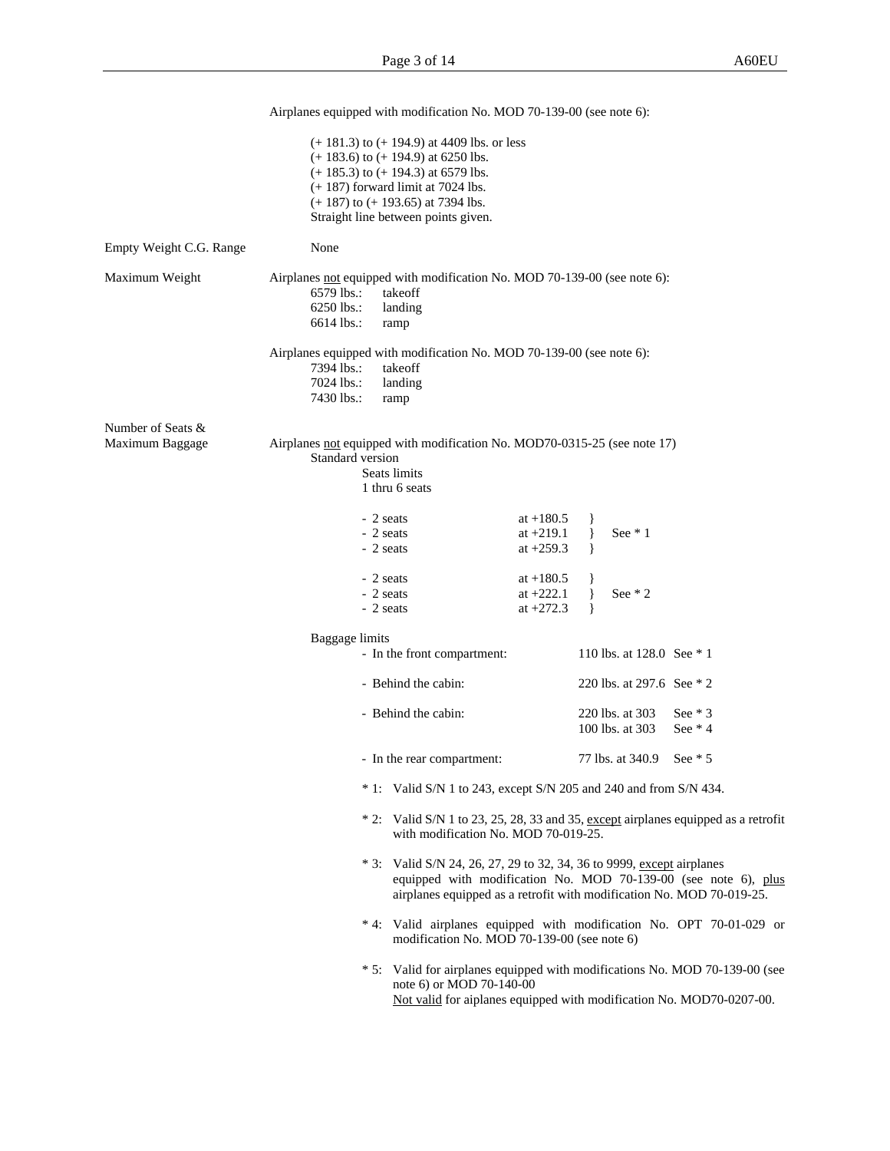|                                      | Airplanes equipped with modification No. MOD 70-139-00 (see note 6):                                                                                                                                                                                           |                                                                                                                                                     |
|--------------------------------------|----------------------------------------------------------------------------------------------------------------------------------------------------------------------------------------------------------------------------------------------------------------|-----------------------------------------------------------------------------------------------------------------------------------------------------|
|                                      | $(+ 181.3)$ to $(+ 194.9)$ at 4409 lbs. or less<br>$(+ 183.6)$ to $(+ 194.9)$ at 6250 lbs.<br>$(+ 185.3)$ to $(+ 194.3)$ at 6579 lbs.<br>$(+ 187)$ forward limit at 7024 lbs.<br>$(+ 187)$ to $(+ 193.65)$ at 7394 lbs.<br>Straight line between points given. |                                                                                                                                                     |
| Empty Weight C.G. Range              | None                                                                                                                                                                                                                                                           |                                                                                                                                                     |
| Maximum Weight                       | Airplanes not equipped with modification No. MOD 70-139-00 (see note 6):<br>$6579$ lbs.:<br>takeoff<br>6250 lbs.:<br>landing<br>$6614$ lbs.:<br>ramp                                                                                                           |                                                                                                                                                     |
|                                      | Airplanes equipped with modification No. MOD 70-139-00 (see note 6):<br>7394 lbs.:<br>takeoff<br>7024 lbs.:<br>landing<br>7430 lbs.:<br>ramp                                                                                                                   |                                                                                                                                                     |
| Number of Seats &<br>Maximum Baggage | Airplanes not equipped with modification No. MOD70-0315-25 (see note 17)<br>Standard version<br>Seats limits<br>1 thru 6 seats                                                                                                                                 |                                                                                                                                                     |
|                                      | - 2 seats<br>at $+180.5$<br>- 2 seats<br>at $+219.1$<br>- 2 seats<br>at $+259.3$                                                                                                                                                                               | See $*1$                                                                                                                                            |
|                                      | - 2 seats<br>at $+180.5$<br>- 2 seats<br>at $+222.1$<br>at $+272.3$<br>- 2 seats                                                                                                                                                                               | See $*2$                                                                                                                                            |
|                                      | Baggage limits                                                                                                                                                                                                                                                 |                                                                                                                                                     |
|                                      | - In the front compartment:                                                                                                                                                                                                                                    | 110 lbs. at 128.0 See * 1                                                                                                                           |
|                                      | - Behind the cabin:                                                                                                                                                                                                                                            | 220 lbs. at 297.6 See * 2                                                                                                                           |
|                                      | - Behind the cabin:                                                                                                                                                                                                                                            | 220 lbs. at 303<br>See $*$ 3<br>100 lbs. at 303<br>See $*$ 4                                                                                        |
|                                      | In the rear compartment:                                                                                                                                                                                                                                       | 77 lbs. at 340.9<br>See $*$ 5                                                                                                                       |
|                                      | $* 1$ : Valid S/N 1 to 243, except S/N 205 and 240 and from S/N 434.                                                                                                                                                                                           |                                                                                                                                                     |
|                                      | with modification No. MOD 70-019-25.                                                                                                                                                                                                                           | * 2: Valid S/N 1 to 23, 25, 28, 33 and 35, except airplanes equipped as a retrofit                                                                  |
|                                      | * 3: Valid S/N 24, 26, 27, 29 to 32, 34, 36 to 9999, except airplanes                                                                                                                                                                                          | equipped with modification No. MOD 70-139-00 (see note 6), plus<br>airplanes equipped as a retrofit with modification No. MOD 70-019-25.            |
|                                      | modification No. MOD 70-139-00 (see note 6)                                                                                                                                                                                                                    | * 4: Valid airplanes equipped with modification No. OPT 70-01-029 or                                                                                |
|                                      | note 6) or MOD 70-140-00                                                                                                                                                                                                                                       | * 5: Valid for airplanes equipped with modifications No. MOD 70-139-00 (see<br>Not valid for aiplanes equipped with modification No. MOD70-0207-00. |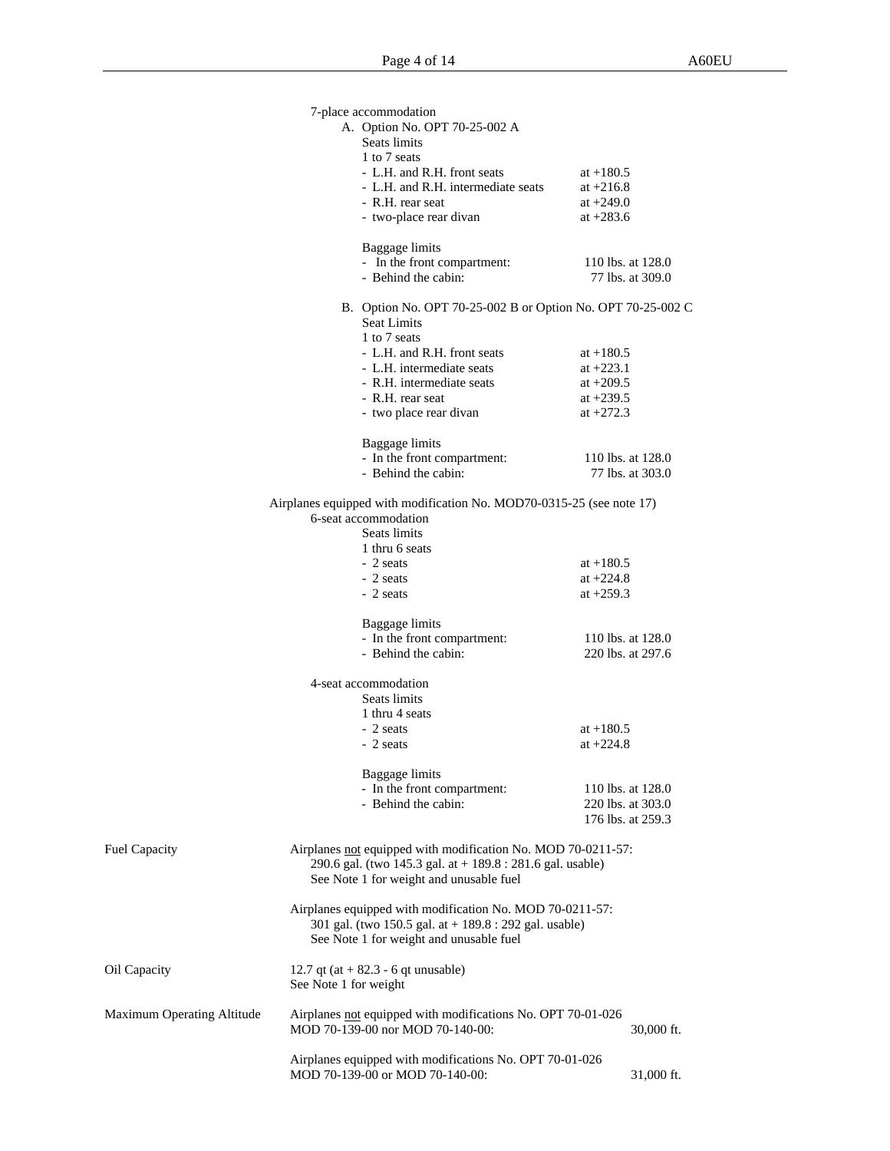|                                   | 7-place accommodation                                                                                                                                                   |                                       |
|-----------------------------------|-------------------------------------------------------------------------------------------------------------------------------------------------------------------------|---------------------------------------|
|                                   | A. Option No. OPT 70-25-002 A<br>Seats limits                                                                                                                           |                                       |
|                                   | 1 to 7 seats                                                                                                                                                            |                                       |
|                                   | - L.H. and R.H. front seats                                                                                                                                             | at $+180.5$                           |
|                                   | - L.H. and R.H. intermediate seats                                                                                                                                      | at $+216.8$                           |
|                                   | - R.H. rear seat<br>- two-place rear divan                                                                                                                              | at $+249.0$<br>at $+283.6$            |
|                                   |                                                                                                                                                                         |                                       |
|                                   | Baggage limits                                                                                                                                                          |                                       |
|                                   | - In the front compartment:<br>- Behind the cabin:                                                                                                                      | 110 lbs. at 128.0<br>77 lbs. at 309.0 |
|                                   |                                                                                                                                                                         |                                       |
|                                   | B. Option No. OPT 70-25-002 B or Option No. OPT 70-25-002 C<br><b>Seat Limits</b>                                                                                       |                                       |
|                                   | 1 to 7 seats                                                                                                                                                            |                                       |
|                                   | - L.H. and R.H. front seats<br>- L.H. intermediate seats                                                                                                                | at $+180.5$<br>at $+223.1$            |
|                                   | - R.H. intermediate seats                                                                                                                                               | at $+209.5$                           |
|                                   | - R.H. rear seat                                                                                                                                                        | at $+239.5$                           |
|                                   | - two place rear divan                                                                                                                                                  | at $+272.3$                           |
|                                   |                                                                                                                                                                         |                                       |
|                                   | Baggage limits<br>- In the front compartment:                                                                                                                           | 110 lbs. at 128.0                     |
|                                   | - Behind the cabin:                                                                                                                                                     | 77 lbs. at 303.0                      |
|                                   |                                                                                                                                                                         |                                       |
|                                   | Airplanes equipped with modification No. MOD70-0315-25 (see note 17)<br>6-seat accommodation                                                                            |                                       |
|                                   | Seats limits                                                                                                                                                            |                                       |
|                                   | 1 thru 6 seats                                                                                                                                                          |                                       |
|                                   | - 2 seats                                                                                                                                                               | at $+180.5$                           |
|                                   | - 2 seats                                                                                                                                                               | at $+224.8$                           |
|                                   | - 2 seats                                                                                                                                                               | at $+259.3$                           |
|                                   | Baggage limits                                                                                                                                                          |                                       |
|                                   | - In the front compartment:                                                                                                                                             | 110 lbs. at 128.0                     |
|                                   | - Behind the cabin:                                                                                                                                                     | 220 lbs. at 297.6                     |
|                                   | 4-seat accommodation                                                                                                                                                    |                                       |
|                                   | Seats limits                                                                                                                                                            |                                       |
|                                   | 1 thru 4 seats                                                                                                                                                          |                                       |
|                                   | - 2 seats                                                                                                                                                               | at $+180.5$                           |
|                                   | - 2 seats                                                                                                                                                               | at $+224.8$                           |
|                                   | Baggage limits                                                                                                                                                          |                                       |
|                                   | - In the front compartment:                                                                                                                                             | 110 lbs. at 128.0                     |
|                                   | - Behind the cabin:                                                                                                                                                     | 220 lbs. at 303.0                     |
|                                   |                                                                                                                                                                         | 176 lbs. at 259.3                     |
| Fuel Capacity                     | Airplanes not equipped with modification No. MOD 70-0211-57:<br>290.6 gal. (two 145.3 gal. at $+$ 189.8 : 281.6 gal. usable)<br>See Note 1 for weight and unusable fuel |                                       |
|                                   | Airplanes equipped with modification No. MOD 70-0211-57:<br>301 gal. (two 150.5 gal. at $+$ 189.8 : 292 gal. usable)<br>See Note 1 for weight and unusable fuel         |                                       |
| Oil Capacity                      | 12.7 qt (at $+$ 82.3 - 6 qt unusable)<br>See Note 1 for weight                                                                                                          |                                       |
| <b>Maximum Operating Altitude</b> | Airplanes not equipped with modifications No. OPT 70-01-026<br>MOD 70-139-00 nor MOD 70-140-00:                                                                         | 30,000 ft.                            |
|                                   | Airplanes equipped with modifications No. OPT 70-01-026                                                                                                                 |                                       |
|                                   | MOD 70-139-00 or MOD 70-140-00:                                                                                                                                         | 31,000 ft.                            |
|                                   |                                                                                                                                                                         |                                       |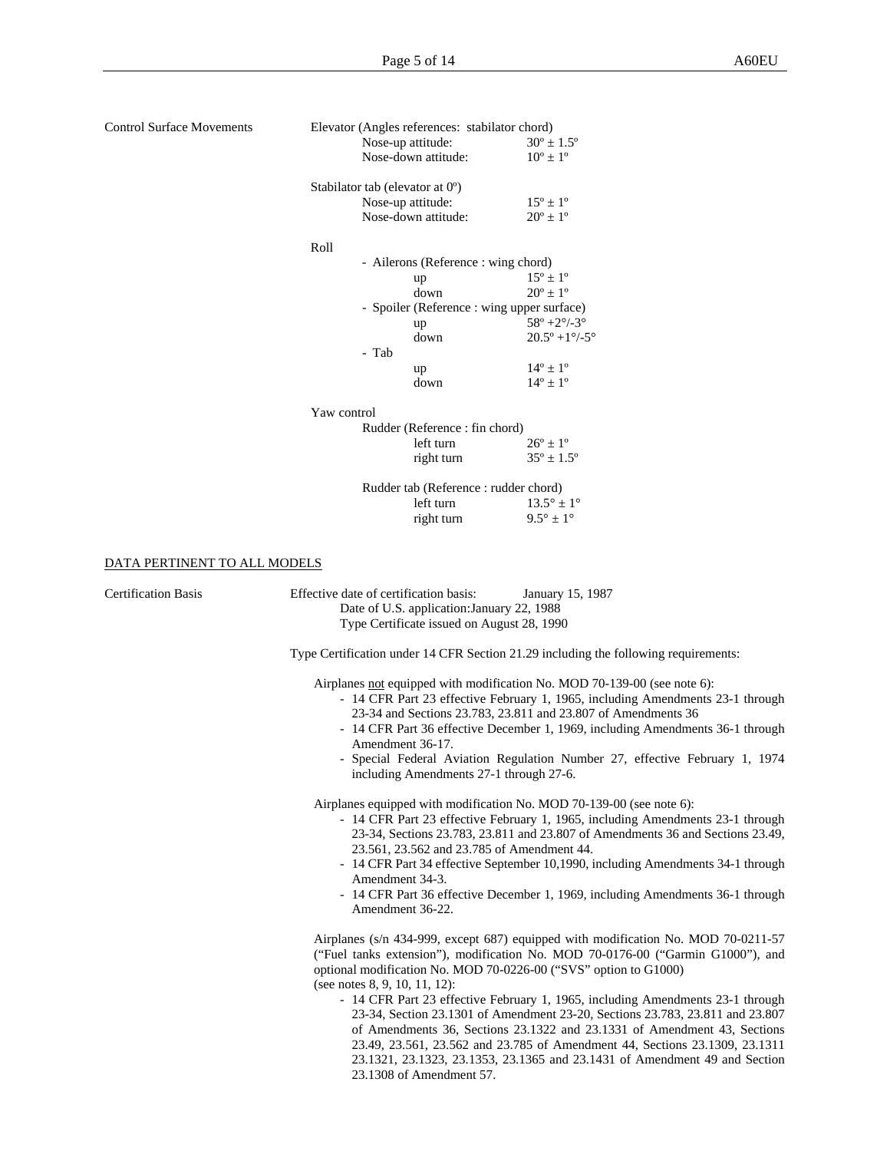| <b>Control Surface Movements</b> | Elevator (Angles references: stabilator chord)                                                                                                             |                                                                                 |  |  |  |  |
|----------------------------------|------------------------------------------------------------------------------------------------------------------------------------------------------------|---------------------------------------------------------------------------------|--|--|--|--|
|                                  | Nose-up attitude:                                                                                                                                          | $30^{\circ} \pm 1.5^{\circ}$                                                    |  |  |  |  |
|                                  | Nose-down attitude:                                                                                                                                        | $10^{\circ} \pm 1^{\circ}$                                                      |  |  |  |  |
|                                  | Stabilator tab (elevator at $0^{\circ}$ )                                                                                                                  |                                                                                 |  |  |  |  |
|                                  | Nose-up attitude:                                                                                                                                          | $15^{\circ} \pm 1^{\circ}$                                                      |  |  |  |  |
|                                  | Nose-down attitude:                                                                                                                                        | $20^{\circ} \pm 1^{\circ}$                                                      |  |  |  |  |
|                                  |                                                                                                                                                            |                                                                                 |  |  |  |  |
|                                  | Roll                                                                                                                                                       |                                                                                 |  |  |  |  |
|                                  | - Ailerons (Reference : wing chord)                                                                                                                        |                                                                                 |  |  |  |  |
|                                  | up                                                                                                                                                         | $15^{\circ} \pm 1^{\circ}$                                                      |  |  |  |  |
|                                  | down                                                                                                                                                       | $20^{\circ} \pm 1^{\circ}$                                                      |  |  |  |  |
|                                  | - Spoiler (Reference: wing upper surface)                                                                                                                  |                                                                                 |  |  |  |  |
|                                  | up                                                                                                                                                         | $58^{\circ}$ +2 $^{\circ}$ /-3 $^{\circ}$                                       |  |  |  |  |
|                                  | down                                                                                                                                                       | $20.5^{\circ}$ +1 $\degree$ /-5 $^{\circ}$                                      |  |  |  |  |
|                                  | - Tab                                                                                                                                                      |                                                                                 |  |  |  |  |
|                                  | up                                                                                                                                                         | $14^{\circ} \pm 1^{\circ}$                                                      |  |  |  |  |
|                                  | down                                                                                                                                                       | $14^{\circ} \pm 1^{\circ}$                                                      |  |  |  |  |
|                                  |                                                                                                                                                            |                                                                                 |  |  |  |  |
|                                  | Yaw control                                                                                                                                                |                                                                                 |  |  |  |  |
|                                  | Rudder (Reference: fin chord)                                                                                                                              |                                                                                 |  |  |  |  |
|                                  | left turn                                                                                                                                                  | $26^{\circ} \pm 1^{\circ}$                                                      |  |  |  |  |
|                                  | right turn                                                                                                                                                 | $35^{\circ} \pm 1.5^{\circ}$                                                    |  |  |  |  |
|                                  | Rudder tab (Reference: rudder chord)                                                                                                                       |                                                                                 |  |  |  |  |
|                                  | left turn                                                                                                                                                  | $13.5^{\circ} \pm 1^{\circ}$                                                    |  |  |  |  |
|                                  | right turn                                                                                                                                                 | $9.5^{\circ} \pm 1^{\circ}$                                                     |  |  |  |  |
|                                  |                                                                                                                                                            |                                                                                 |  |  |  |  |
|                                  |                                                                                                                                                            |                                                                                 |  |  |  |  |
| DATA PERTINENT TO ALL MODELS     |                                                                                                                                                            |                                                                                 |  |  |  |  |
|                                  |                                                                                                                                                            |                                                                                 |  |  |  |  |
| <b>Certification Basis</b>       | Effective date of certification basis:                                                                                                                     | January 15, 1987                                                                |  |  |  |  |
|                                  | Date of U.S. application: January 22, 1988                                                                                                                 |                                                                                 |  |  |  |  |
|                                  | Type Certificate issued on August 28, 1990                                                                                                                 |                                                                                 |  |  |  |  |
|                                  |                                                                                                                                                            |                                                                                 |  |  |  |  |
|                                  | Type Certification under 14 CFR Section 21.29 including the following requirements:                                                                        |                                                                                 |  |  |  |  |
|                                  |                                                                                                                                                            |                                                                                 |  |  |  |  |
|                                  | Airplanes not equipped with modification No. MOD 70-139-00 (see note 6):<br>- 14 CFR Part 23 effective February 1, 1965, including Amendments 23-1 through |                                                                                 |  |  |  |  |
|                                  | 23-34 and Sections 23.783, 23.811 and 23.807 of Amendments 36                                                                                              |                                                                                 |  |  |  |  |
|                                  | - 14 CFR Part 36 effective December 1, 1969, including Amendments 36-1 through                                                                             |                                                                                 |  |  |  |  |
|                                  | Amendment 36-17.                                                                                                                                           |                                                                                 |  |  |  |  |
|                                  | - Special Federal Aviation Regulation Number 27, effective February 1, 1974                                                                                |                                                                                 |  |  |  |  |
|                                  | including Amendments 27-1 through 27-6.                                                                                                                    |                                                                                 |  |  |  |  |
|                                  |                                                                                                                                                            |                                                                                 |  |  |  |  |
|                                  | Airplanes equipped with modification No. MOD 70-139-00 (see note 6):                                                                                       |                                                                                 |  |  |  |  |
|                                  | - 14 CFR Part 23 effective February 1, 1965, including Amendments 23-1 through                                                                             |                                                                                 |  |  |  |  |
|                                  |                                                                                                                                                            | 23-34, Sections 23.783, 23.811 and 23.807 of Amendments 36 and Sections 23.49,  |  |  |  |  |
|                                  | 23.561, 23.562 and 23.785 of Amendment 44.                                                                                                                 |                                                                                 |  |  |  |  |
|                                  |                                                                                                                                                            | - 14 CFR Part 34 effective September 10,1990, including Amendments 34-1 through |  |  |  |  |
|                                  | Amendment 34-3.                                                                                                                                            |                                                                                 |  |  |  |  |
|                                  | - 14 CFR Part 36 effective December 1, 1969, including Amendments 36-1 through                                                                             |                                                                                 |  |  |  |  |
|                                  | Amendment 36-22.                                                                                                                                           |                                                                                 |  |  |  |  |
|                                  |                                                                                                                                                            |                                                                                 |  |  |  |  |
|                                  | Airplanes (s/n 434-999, except 687) equipped with modification No. MOD 70-0211-57                                                                          |                                                                                 |  |  |  |  |
|                                  | ("Fuel tanks extension"), modification No. MOD 70-0176-00 ("Garmin G1000"), and                                                                            |                                                                                 |  |  |  |  |
|                                  |                                                                                                                                                            | optional modification No. MOD 70-0226-00 ("SVS" option to G1000)                |  |  |  |  |
|                                  | (see notes $8, 9, 10, 11, 12$ ):                                                                                                                           |                                                                                 |  |  |  |  |
|                                  |                                                                                                                                                            | - 14 CFR Part 23 effective February 1, 1965, including Amendments 23-1 through  |  |  |  |  |
|                                  |                                                                                                                                                            | 23-34, Section 23.1301 of Amendment 23-20, Sections 23.783, 23.811 and 23.807   |  |  |  |  |
|                                  |                                                                                                                                                            | of Amendments 36, Sections 23.1322 and 23.1331 of Amendment 43, Sections        |  |  |  |  |
|                                  |                                                                                                                                                            | 23.49, 23.561, 23.562 and 23.785 of Amendment 44, Sections 23.1309, 23.1311     |  |  |  |  |
|                                  |                                                                                                                                                            | 23.1321, 23.1323, 23.1353, 23.1365 and 23.1431 of Amendment 49 and Section      |  |  |  |  |
|                                  | 23.1308 of Amendment 57.                                                                                                                                   |                                                                                 |  |  |  |  |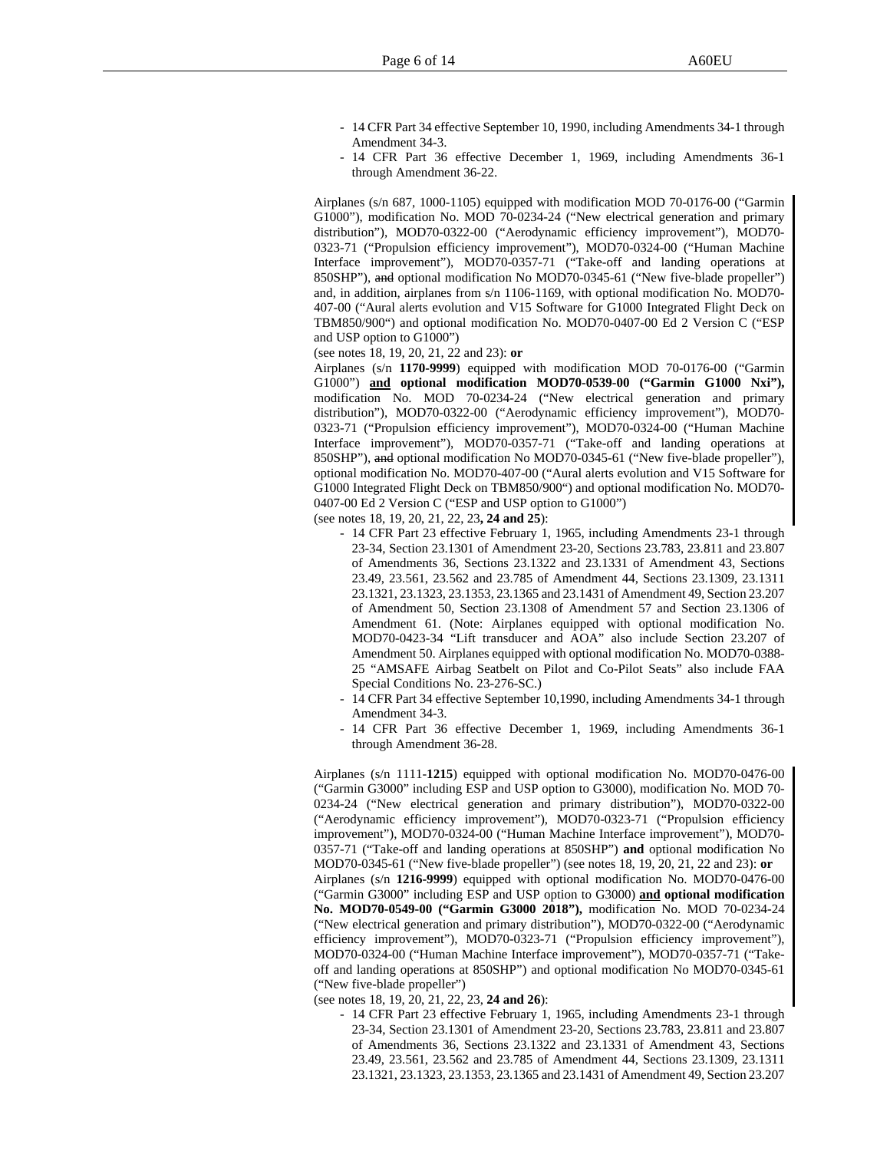- 14 CFR Part 34 effective September 10, 1990, including Amendments 34-1 through Amendment 34-3.
- 14 CFR Part 36 effective December 1, 1969, including Amendments 36-1 through Amendment 36-22.

Airplanes (s/n 687, 1000-1105) equipped with modification MOD 70-0176-00 ("Garmin G1000"), modification No. MOD 70-0234-24 ("New electrical generation and primary distribution"), MOD70-0322-00 ("Aerodynamic efficiency improvement"), MOD70- 0323-71 ("Propulsion efficiency improvement"), MOD70-0324-00 ("Human Machine Interface improvement"), MOD70-0357-71 ("Take-off and landing operations at 850SHP"), and optional modification No MOD70-0345-61 ("New five-blade propeller") and, in addition, airplanes from s/n 1106-1169, with optional modification No. MOD70- 407-00 ("Aural alerts evolution and V15 Software for G1000 Integrated Flight Deck on TBM850/900") and optional modification No. MOD70-0407-00 Ed 2 Version C ("ESP and USP option to G1000")

(see notes 18, 19, 20, 21, 22 and 23): **or**

Airplanes (s/n **1170-9999**) equipped with modification MOD 70-0176-00 ("Garmin G1000") **and optional modification MOD70-0539-00 ("Garmin G1000 Nxi"),** modification No. MOD 70-0234-24 ("New electrical generation and primary distribution"), MOD70-0322-00 ("Aerodynamic efficiency improvement"), MOD70- 0323-71 ("Propulsion efficiency improvement"), MOD70-0324-00 ("Human Machine Interface improvement"), MOD70-0357-71 ("Take-off and landing operations at 850SHP"), and optional modification No MOD70-0345-61 ("New five-blade propeller"), optional modification No. MOD70-407-00 ("Aural alerts evolution and V15 Software for G1000 Integrated Flight Deck on TBM850/900") and optional modification No. MOD70- 0407-00 Ed 2 Version C ("ESP and USP option to G1000")

(see notes 18, 19, 20, 21, 22, 23**, 24 and 25**):

- 14 CFR Part 23 effective February 1, 1965, including Amendments 23-1 through 23-34, Section 23.1301 of Amendment 23-20, Sections 23.783, 23.811 and 23.807 of Amendments 36, Sections 23.1322 and 23.1331 of Amendment 43, Sections 23.49, 23.561, 23.562 and 23.785 of Amendment 44, Sections 23.1309, 23.1311 23.1321, 23.1323, 23.1353, 23.1365 and 23.1431 of Amendment 49, Section 23.207 of Amendment 50, Section 23.1308 of Amendment 57 and Section 23.1306 of Amendment 61. (Note: Airplanes equipped with optional modification No. MOD70-0423-34 "Lift transducer and AOA" also include Section 23.207 of Amendment 50. Airplanes equipped with optional modification No. MOD70-0388- 25 "AMSAFE Airbag Seatbelt on Pilot and Co-Pilot Seats" also include FAA Special Conditions No. 23-276-SC.)
- 14 CFR Part 34 effective September 10,1990, including Amendments 34-1 through Amendment 34-3.
- 14 CFR Part 36 effective December 1, 1969, including Amendments 36-1 through Amendment 36-28.

Airplanes (s/n 1111-**1215**) equipped with optional modification No. MOD70-0476-00 ("Garmin G3000" including ESP and USP option to G3000), modification No. MOD 70- 0234-24 ("New electrical generation and primary distribution"), MOD70-0322-00 ("Aerodynamic efficiency improvement"), MOD70-0323-71 ("Propulsion efficiency improvement"), MOD70-0324-00 ("Human Machine Interface improvement"), MOD70- 0357-71 ("Take-off and landing operations at 850SHP") **and** optional modification No MOD70-0345-61 ("New five-blade propeller") (see notes 18, 19, 20, 21, 22 and 23): **or** Airplanes (s/n **1216-9999**) equipped with optional modification No. MOD70-0476-00 ("Garmin G3000" including ESP and USP option to G3000) **and optional modification No. MOD70-0549-00 ("Garmin G3000 2018"),** modification No. MOD 70-0234-24 ("New electrical generation and primary distribution"), MOD70-0322-00 ("Aerodynamic efficiency improvement"), MOD70-0323-71 ("Propulsion efficiency improvement"), MOD70-0324-00 ("Human Machine Interface improvement"), MOD70-0357-71 ("Takeoff and landing operations at 850SHP") and optional modification No MOD70-0345-61 ("New five-blade propeller")

(see notes 18, 19, 20, 21, 22, 23, **24 and 26**):

- 14 CFR Part 23 effective February 1, 1965, including Amendments 23-1 through 23-34, Section 23.1301 of Amendment 23-20, Sections 23.783, 23.811 and 23.807 of Amendments 36, Sections 23.1322 and 23.1331 of Amendment 43, Sections 23.49, 23.561, 23.562 and 23.785 of Amendment 44, Sections 23.1309, 23.1311 23.1321, 23.1323, 23.1353, 23.1365 and 23.1431 of Amendment 49, Section 23.207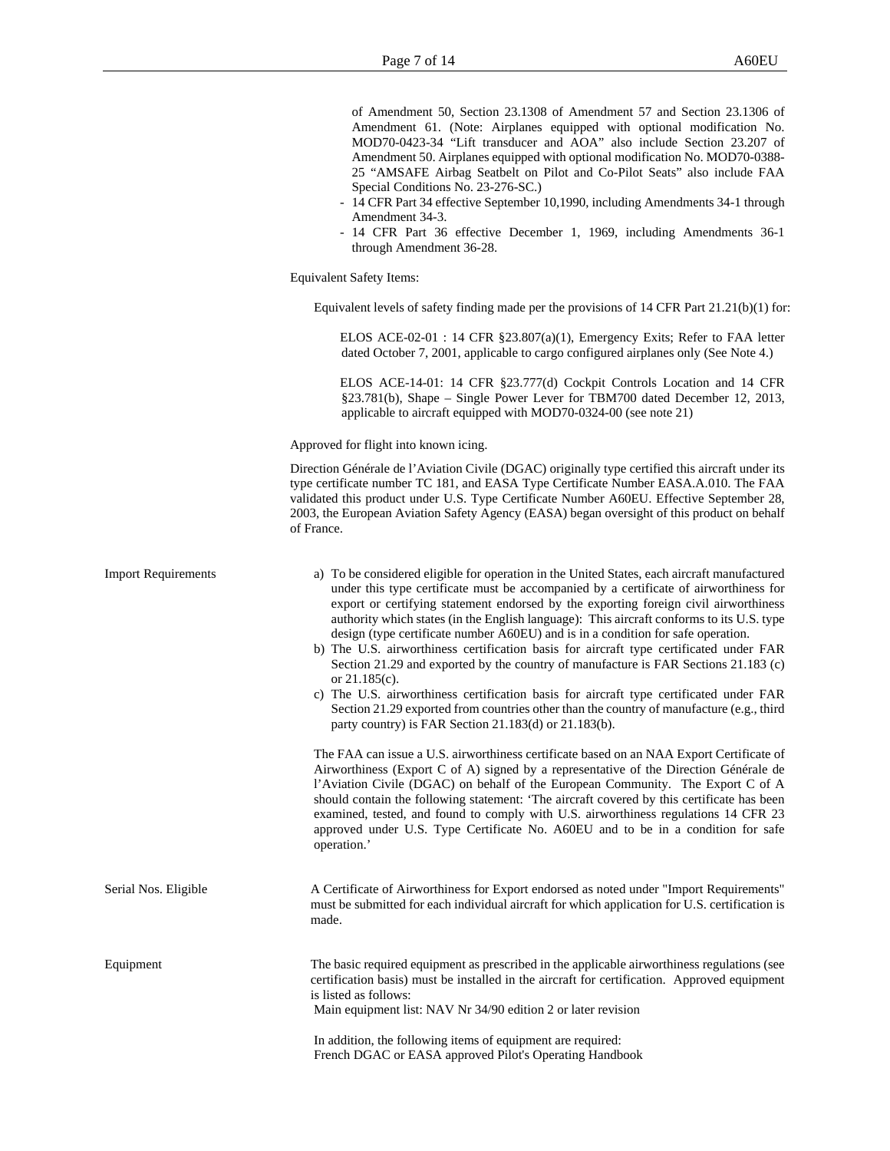of Amendment 50, Section 23.1308 of Amendment 57 and Section 23.1306 of Amendment 61. (Note: Airplanes equipped with optional modification No. MOD70-0423-34 "Lift transducer and AOA" also include Section 23.207 of Amendment 50. Airplanes equipped with optional modification No. MOD70-0388- 25 "AMSAFE Airbag Seatbelt on Pilot and Co-Pilot Seats" also include FAA Special Conditions No. 23-276-SC.)

- 14 CFR Part 34 effective September 10,1990, including Amendments 34-1 through Amendment 34-3.
- 14 CFR Part 36 effective December 1, 1969, including Amendments 36-1 through Amendment 36-28.

Equivalent Safety Items:

Equivalent levels of safety finding made per the provisions of  $14$  CFR Part  $21.21(b)(1)$  for:

ELOS ACE-02-01 : 14 CFR §23.807(a)(1), Emergency Exits; Refer to FAA letter dated October 7, 2001, applicable to cargo configured airplanes only (See Note 4.)

ELOS ACE-14-01: 14 CFR §23.777(d) Cockpit Controls Location and 14 CFR §23.781(b), Shape – Single Power Lever for TBM700 dated December 12, 2013, applicable to aircraft equipped with MOD70-0324-00 (see note 21)

Approved for flight into known icing.

Direction Générale de l'Aviation Civile (DGAC) originally type certified this aircraft under its type certificate number TC 181, and EASA Type Certificate Number EASA.A.010. The FAA validated this product under U.S. Type Certificate Number A60EU. Effective September 28, 2003, the European Aviation Safety Agency (EASA) began oversight of this product on behalf of France.

| <b>Import Requirements</b> | a) To be considered eligible for operation in the United States, each aircraft manufactured<br>under this type certificate must be accompanied by a certificate of airworthiness for<br>export or certifying statement endorsed by the exporting foreign civil airworthiness<br>authority which states (in the English language): This aircraft conforms to its U.S. type<br>design (type certificate number A60EU) and is in a condition for safe operation.<br>b) The U.S. airworthiness certification basis for aircraft type certificated under FAR<br>Section 21.29 and exported by the country of manufacture is FAR Sections 21.183 (c)<br>or $21.185(c)$ .<br>c) The U.S. airworthiness certification basis for aircraft type certificated under FAR<br>Section 21.29 exported from countries other than the country of manufacture (e.g., third<br>party country) is FAR Section $21.183(d)$ or $21.183(b)$ .<br>The FAA can issue a U.S. airworthiness certificate based on an NAA Export Certificate of<br>Airworthiness (Export C of A) signed by a representative of the Direction Générale de<br>l'Aviation Civile (DGAC) on behalf of the European Community. The Export C of A<br>should contain the following statement: 'The aircraft covered by this certificate has been<br>examined, tested, and found to comply with U.S. airworthiness regulations 14 CFR 23<br>approved under U.S. Type Certificate No. A60EU and to be in a condition for safe<br>operation.' |
|----------------------------|----------------------------------------------------------------------------------------------------------------------------------------------------------------------------------------------------------------------------------------------------------------------------------------------------------------------------------------------------------------------------------------------------------------------------------------------------------------------------------------------------------------------------------------------------------------------------------------------------------------------------------------------------------------------------------------------------------------------------------------------------------------------------------------------------------------------------------------------------------------------------------------------------------------------------------------------------------------------------------------------------------------------------------------------------------------------------------------------------------------------------------------------------------------------------------------------------------------------------------------------------------------------------------------------------------------------------------------------------------------------------------------------------------------------------------------------------------------------------------------|
| Serial Nos. Eligible       | A Certificate of Airworthiness for Export endorsed as noted under "Import Requirements"<br>must be submitted for each individual aircraft for which application for U.S. certification is<br>made.                                                                                                                                                                                                                                                                                                                                                                                                                                                                                                                                                                                                                                                                                                                                                                                                                                                                                                                                                                                                                                                                                                                                                                                                                                                                                     |
| Equipment                  | The basic required equipment as prescribed in the applicable airworthiness regulations (see<br>certification basis) must be installed in the aircraft for certification. Approved equipment<br>is listed as follows:<br>Main equipment list: NAV Nr 34/90 edition 2 or later revision                                                                                                                                                                                                                                                                                                                                                                                                                                                                                                                                                                                                                                                                                                                                                                                                                                                                                                                                                                                                                                                                                                                                                                                                  |
|                            | In addition, the following items of equipment are required:<br>French DGAC or EASA approved Pilot's Operating Handbook                                                                                                                                                                                                                                                                                                                                                                                                                                                                                                                                                                                                                                                                                                                                                                                                                                                                                                                                                                                                                                                                                                                                                                                                                                                                                                                                                                 |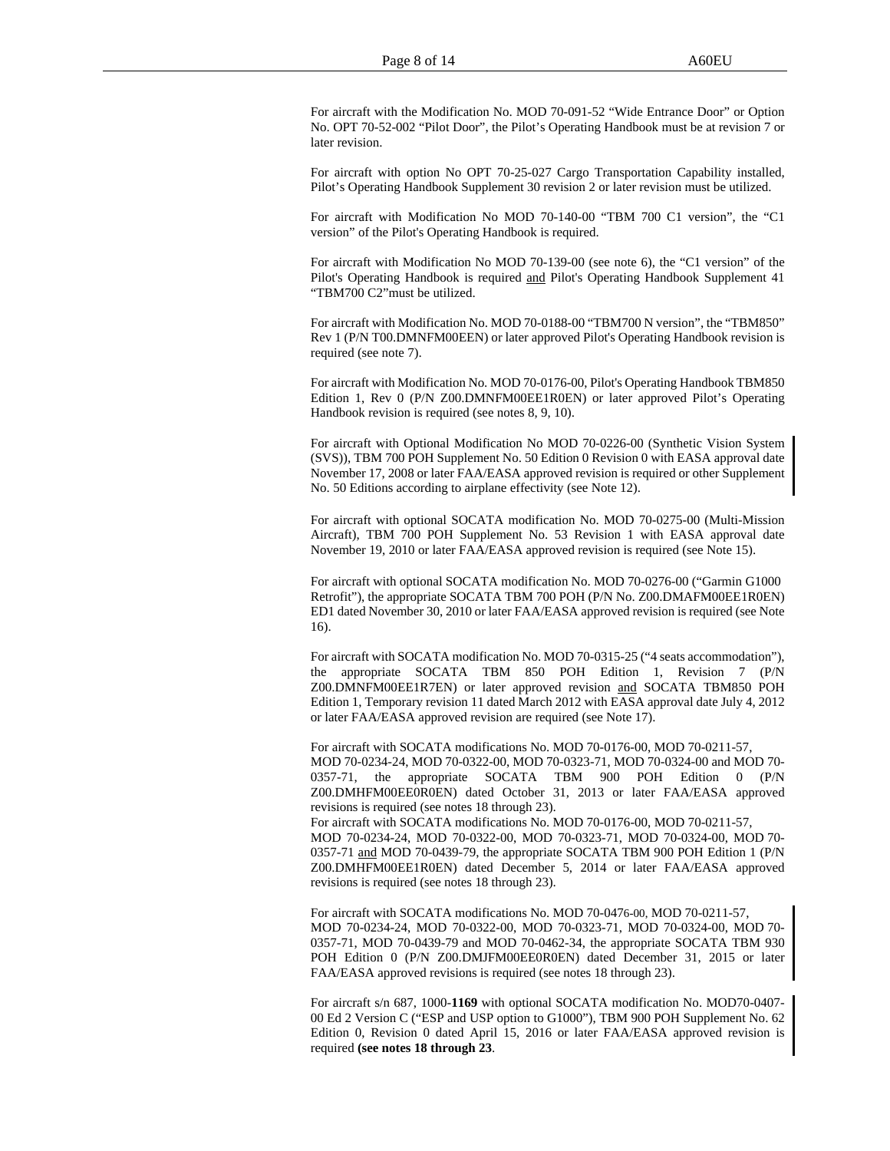For aircraft with the Modification No. MOD 70-091-52 "Wide Entrance Door" or Option No. OPT 70-52-002 "Pilot Door", the Pilot's Operating Handbook must be at revision 7 or later revision.

For aircraft with option No OPT 70-25-027 Cargo Transportation Capability installed, Pilot's Operating Handbook Supplement 30 revision 2 or later revision must be utilized.

For aircraft with Modification No MOD 70-140-00 "TBM 700 C1 version", the "C1 version" of the Pilot's Operating Handbook is required.

For aircraft with Modification No MOD 70-139-00 (see note 6), the "C1 version" of the Pilot's Operating Handbook is required and Pilot's Operating Handbook Supplement 41 "TBM700 C2"must be utilized.

For aircraft with Modification No. MOD 70-0188-00 "TBM700 N version", the "TBM850" Rev 1 (P/N T00.DMNFM00EEN) or later approved Pilot's Operating Handbook revision is required (see note 7).

For aircraft with Modification No. MOD 70-0176-00, Pilot's Operating Handbook TBM850 Edition 1, Rev 0 (P/N Z00.DMNFM00EE1R0EN) or later approved Pilot's Operating Handbook revision is required (see notes 8, 9, 10).

For aircraft with Optional Modification No MOD 70-0226-00 (Synthetic Vision System (SVS)), TBM 700 POH Supplement No. 50 Edition 0 Revision 0 with EASA approval date November 17, 2008 or later FAA/EASA approved revision is required or other Supplement No. 50 Editions according to airplane effectivity (see Note 12).

For aircraft with optional SOCATA modification No. MOD 70-0275-00 (Multi-Mission Aircraft), TBM 700 POH Supplement No. 53 Revision 1 with EASA approval date November 19, 2010 or later FAA/EASA approved revision is required (see Note 15).

For aircraft with optional SOCATA modification No. MOD 70-0276-00 ("Garmin G1000 Retrofit"), the appropriate SOCATA TBM 700 POH (P/N No. Z00.DMAFM00EE1R0EN) ED1 dated November 30, 2010 or later FAA/EASA approved revision is required (see Note 16).

For aircraft with SOCATA modification No. MOD 70-0315-25 ("4 seats accommodation"), the appropriate SOCATA TBM 850 POH Edition 1, Revision 7 (P/N Z00.DMNFM00EE1R7EN) or later approved revision and SOCATA TBM850 POH Edition 1, Temporary revision 11 dated March 2012 with EASA approval date July 4, 2012 or later FAA/EASA approved revision are required (see Note 17).

For aircraft with SOCATA modifications No. MOD 70-0176-00, MOD 70-0211-57, MOD 70-0234-24, MOD 70-0322-00, MOD 70-0323-71, MOD 70-0324-00 and MOD 70- 0357-71, the appropriate SOCATA TBM 900 POH Edition 0 (P/N Z00.DMHFM00EE0R0EN) dated October 31, 2013 or later FAA/EASA approved revisions is required (see notes 18 through 23).

For aircraft with SOCATA modifications No. MOD 70-0176-00, MOD 70-0211-57,

MOD 70-0234-24, MOD 70-0322-00, MOD 70-0323-71, MOD 70-0324-00, MOD 70- 0357-71 and MOD 70-0439-79, the appropriate SOCATA TBM 900 POH Edition 1 (P/N Z00.DMHFM00EE1R0EN) dated December 5, 2014 or later FAA/EASA approved revisions is required (see notes 18 through 23).

For aircraft with SOCATA modifications No. MOD 70-0476-00, MOD 70-0211-57, MOD 70-0234-24, MOD 70-0322-00, MOD 70-0323-71, MOD 70-0324-00, MOD 70- 0357-71, MOD 70-0439-79 and MOD 70-0462-34, the appropriate SOCATA TBM 930 POH Edition 0 (P/N Z00.DMJFM00EE0R0EN) dated December 31, 2015 or later FAA/EASA approved revisions is required (see notes 18 through 23).

For aircraft s/n 687, 1000-**1169** with optional SOCATA modification No. MOD70-0407- 00 Ed 2 Version C ("ESP and USP option to G1000"), TBM 900 POH Supplement No. 62 Edition 0, Revision 0 dated April 15, 2016 or later FAA/EASA approved revision is required **(see notes 18 through 23**.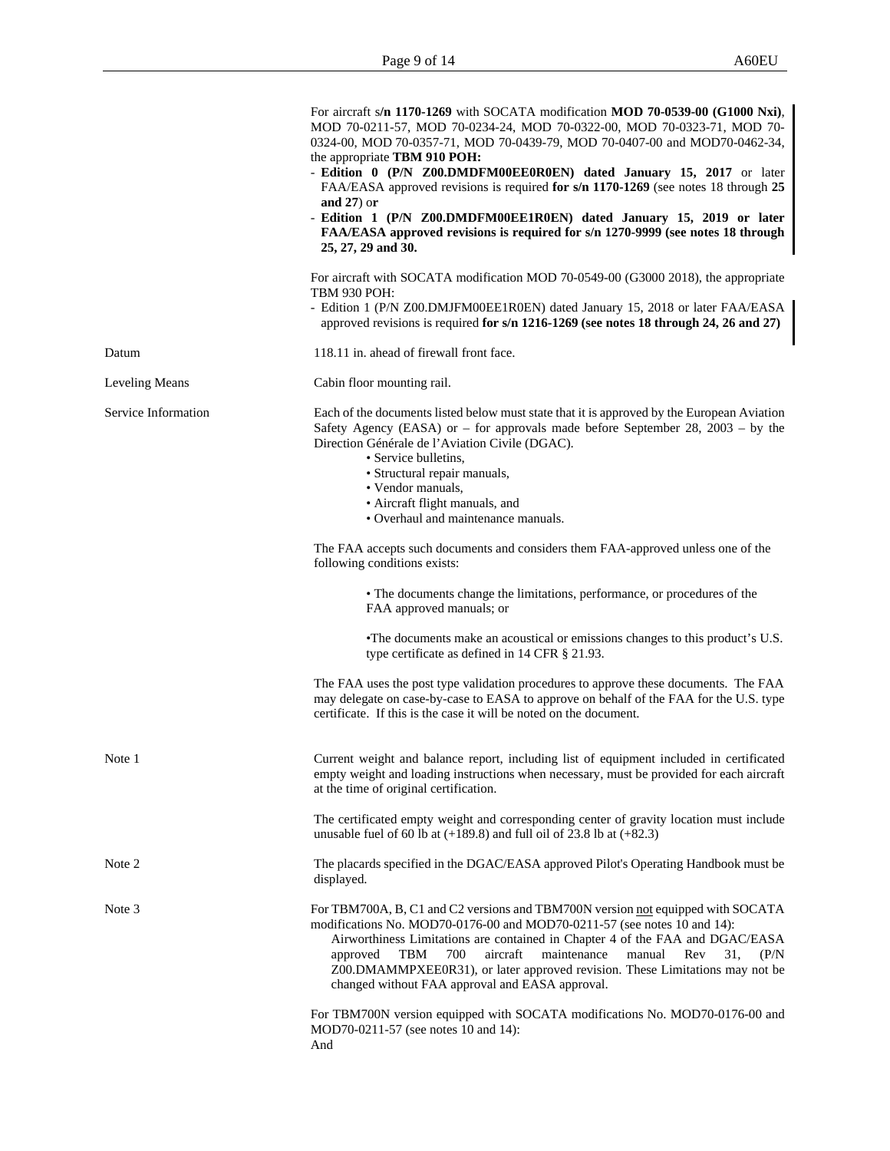|                       | For aircraft s/n 1170-1269 with SOCATA modification MOD 70-0539-00 (G1000 Nxi),<br>MOD 70-0211-57, MOD 70-0234-24, MOD 70-0322-00, MOD 70-0323-71, MOD 70-<br>0324-00, MOD 70-0357-71, MOD 70-0439-79, MOD 70-0407-00 and MOD70-0462-34,<br>the appropriate TBM 910 POH:                                                                                                                                                                                              |
|-----------------------|-----------------------------------------------------------------------------------------------------------------------------------------------------------------------------------------------------------------------------------------------------------------------------------------------------------------------------------------------------------------------------------------------------------------------------------------------------------------------|
|                       | - Edition 0 (P/N Z00.DMDFM00EE0R0EN) dated January 15, 2017 or later<br>FAA/EASA approved revisions is required for s/n 1170-1269 (see notes 18 through 25                                                                                                                                                                                                                                                                                                            |
|                       | and $27$ ) or<br>- Edition 1 (P/N Z00.DMDFM00EE1R0EN) dated January 15, 2019 or later<br>FAA/EASA approved revisions is required for s/n 1270-9999 (see notes 18 through<br>25, 27, 29 and 30.                                                                                                                                                                                                                                                                        |
|                       | For aircraft with SOCATA modification MOD 70-0549-00 (G3000 2018), the appropriate<br><b>TBM 930 POH:</b>                                                                                                                                                                                                                                                                                                                                                             |
|                       | - Edition 1 (P/N Z00.DMJFM00EE1R0EN) dated January 15, 2018 or later FAA/EASA<br>approved revisions is required for s/n 1216-1269 (see notes 18 through 24, 26 and 27)                                                                                                                                                                                                                                                                                                |
| Datum                 | 118.11 in. ahead of firewall front face.                                                                                                                                                                                                                                                                                                                                                                                                                              |
| <b>Leveling Means</b> | Cabin floor mounting rail.                                                                                                                                                                                                                                                                                                                                                                                                                                            |
| Service Information   | Each of the documents listed below must state that it is approved by the European Aviation<br>Safety Agency (EASA) or – for approvals made before September 28, $2003 - by$ the<br>Direction Générale de l'Aviation Civile (DGAC).<br>• Service bulletins,<br>• Structural repair manuals,<br>• Vendor manuals,<br>• Aircraft flight manuals, and<br>• Overhaul and maintenance manuals.                                                                              |
|                       | The FAA accepts such documents and considers them FAA-approved unless one of the<br>following conditions exists:                                                                                                                                                                                                                                                                                                                                                      |
|                       | • The documents change the limitations, performance, or procedures of the<br>FAA approved manuals; or                                                                                                                                                                                                                                                                                                                                                                 |
|                       | • The documents make an acoustical or emissions changes to this product's U.S.<br>type certificate as defined in 14 CFR § 21.93.                                                                                                                                                                                                                                                                                                                                      |
|                       | The FAA uses the post type validation procedures to approve these documents. The FAA<br>may delegate on case-by-case to EASA to approve on behalf of the FAA for the U.S. type<br>certificate. If this is the case it will be noted on the document.                                                                                                                                                                                                                  |
| Note 1                | Current weight and balance report, including list of equipment included in certificated<br>empty weight and loading instructions when necessary, must be provided for each aircraft<br>at the time of original certification.                                                                                                                                                                                                                                         |
|                       | The certificated empty weight and corresponding center of gravity location must include<br>unusable fuel of 60 lb at $(+189.8)$ and full oil of 23.8 lb at $(+82.3)$                                                                                                                                                                                                                                                                                                  |
| Note 2                | The placards specified in the DGAC/EASA approved Pilot's Operating Handbook must be<br>displayed.                                                                                                                                                                                                                                                                                                                                                                     |
| Note 3                | For TBM700A, B, C1 and C2 versions and TBM700N version not equipped with SOCATA<br>modifications No. MOD70-0176-00 and MOD70-0211-57 (see notes 10 and 14):<br>Airworthiness Limitations are contained in Chapter 4 of the FAA and DGAC/EASA<br>700<br>aircraft<br>maintenance<br>approved<br>TBM<br>manual<br>Rev<br>31.<br>(P/N)<br>Z00.DMAMMPXEE0R31), or later approved revision. These Limitations may not be<br>changed without FAA approval and EASA approval. |
|                       | For TBM700N version equipped with SOCATA modifications No. MOD70-0176-00 and<br>MOD70-0211-57 (see notes 10 and 14):<br>And                                                                                                                                                                                                                                                                                                                                           |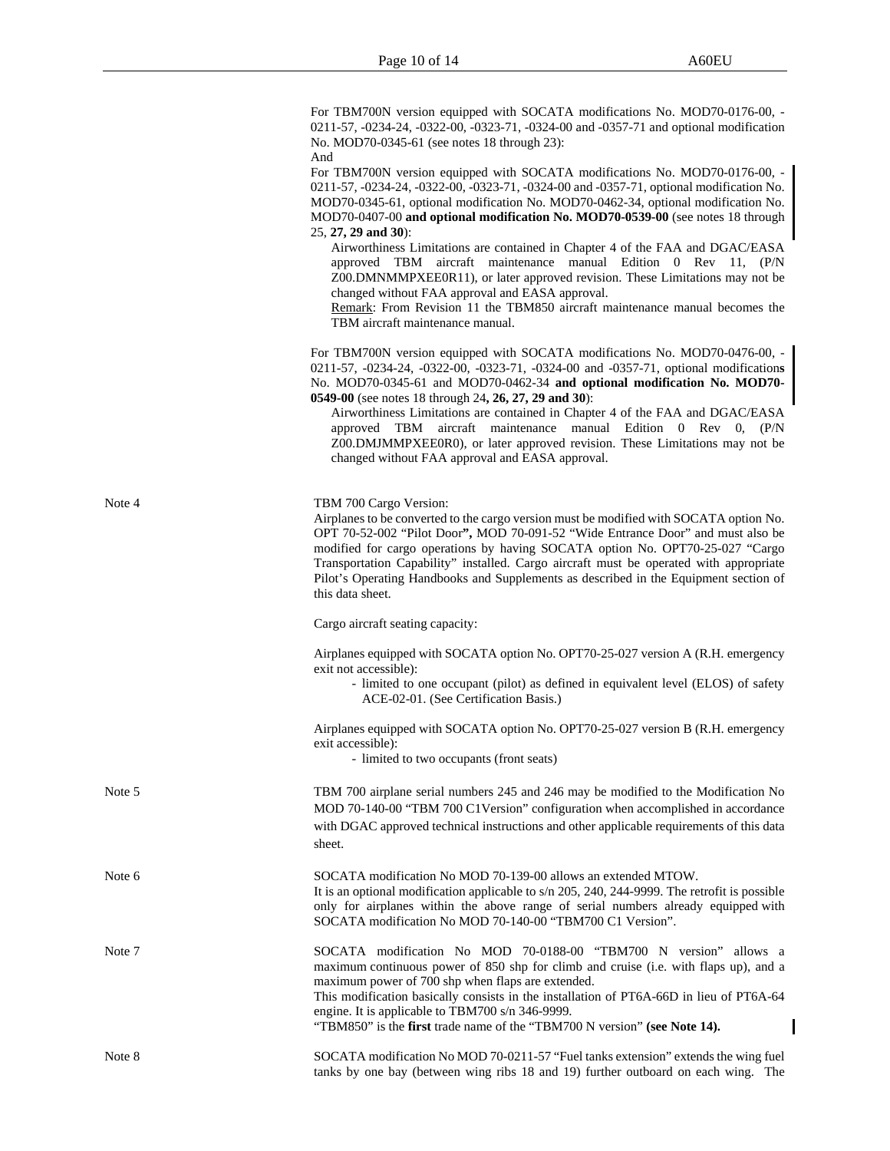For TBM700N version equipped with SOCATA modifications No. MOD70-0176-00, - 0211-57, -0234-24, -0322-00, -0323-71, -0324-00 and -0357-71 and optional modification No. MOD70-0345-61 (see notes 18 through 23):

And

For TBM700N version equipped with SOCATA modifications No. MOD70-0176-00, - 0211-57, -0234-24, -0322-00, -0323-71, -0324-00 and -0357-71, optional modification No. MOD70-0345-61, optional modification No. MOD70-0462-34, optional modification No. MOD70-0407-00 **and optional modification No. MOD70-0539-00** (see notes 18 through 25, **27, 29 and 30**):

Airworthiness Limitations are contained in Chapter 4 of the FAA and DGAC/EASA approved TBM aircraft maintenance manual Edition 0 Rev 11, (P/N Z00.DMNMMPXEE0R11), or later approved revision. These Limitations may not be changed without FAA approval and EASA approval.

Remark: From Revision 11 the TBM850 aircraft maintenance manual becomes the TBM aircraft maintenance manual.

For TBM700N version equipped with SOCATA modifications No. MOD70-0476-00, - 0211-57, -0234-24, -0322-00, -0323-71, -0324-00 and -0357-71, optional modification**s** No. MOD70-0345-61 and MOD70-0462-34 **and optional modification No. MOD70- 0549-00** (see notes 18 through 24**, 26, 27, 29 and 30**):

Airworthiness Limitations are contained in Chapter 4 of the FAA and DGAC/EASA approved TBM aircraft maintenance manual Edition 0 Rev 0, (P/N Z00.DMJMMPXEE0R0), or later approved revision. These Limitations may not be changed without FAA approval and EASA approval.

| Note 4 | TBM 700 Cargo Version:<br>Airplanes to be converted to the cargo version must be modified with SOCATA option No.<br>OPT 70-52-002 "Pilot Door", MOD 70-091-52 "Wide Entrance Door" and must also be<br>modified for cargo operations by having SOCATA option No. OPT70-25-027 "Cargo<br>Transportation Capability" installed. Cargo aircraft must be operated with appropriate<br>Pilot's Operating Handbooks and Supplements as described in the Equipment section of<br>this data sheet. |
|--------|--------------------------------------------------------------------------------------------------------------------------------------------------------------------------------------------------------------------------------------------------------------------------------------------------------------------------------------------------------------------------------------------------------------------------------------------------------------------------------------------|
|        | Cargo aircraft seating capacity:                                                                                                                                                                                                                                                                                                                                                                                                                                                           |
|        | Airplanes equipped with SOCATA option No. OPT70-25-027 version A (R.H. emergency<br>exit not accessible):<br>- limited to one occupant (pilot) as defined in equivalent level (ELOS) of safety<br>ACE-02-01. (See Certification Basis.)                                                                                                                                                                                                                                                    |
|        | Airplanes equipped with SOCATA option No. OPT70-25-027 version B (R.H. emergency<br>exit accessible):<br>- limited to two occupants (front seats)                                                                                                                                                                                                                                                                                                                                          |
| Note 5 | TBM 700 airplane serial numbers 245 and 246 may be modified to the Modification No<br>MOD 70-140-00 "TBM 700 C1Version" configuration when accomplished in accordance<br>with DGAC approved technical instructions and other applicable requirements of this data<br>sheet.                                                                                                                                                                                                                |
| Note 6 | SOCATA modification No MOD 70-139-00 allows an extended MTOW.<br>It is an optional modification applicable to $s/n$ 205, 240, 244-9999. The retrofit is possible<br>only for airplanes within the above range of serial numbers already equipped with<br>SOCATA modification No MOD 70-140-00 "TBM700 C1 Version".                                                                                                                                                                         |
| Note 7 | SOCATA modification No MOD 70-0188-00 "TBM700 N version" allows a<br>maximum continuous power of 850 shp for climb and cruise (i.e. with flaps up), and a<br>maximum power of 700 shp when flaps are extended.<br>This modification basically consists in the installation of PT6A-66D in lieu of PT6A-64<br>engine. It is applicable to TBM700 s/n 346-9999.<br>"TBM850" is the first trade name of the "TBM700 N version" (see Note 14).                                                 |
| Note 8 | SOCATA modification No MOD 70-0211-57 "Fuel tanks extension" extends the wing fuel<br>tanks by one bay (between wing ribs 18 and 19) further outboard on each wing. The                                                                                                                                                                                                                                                                                                                    |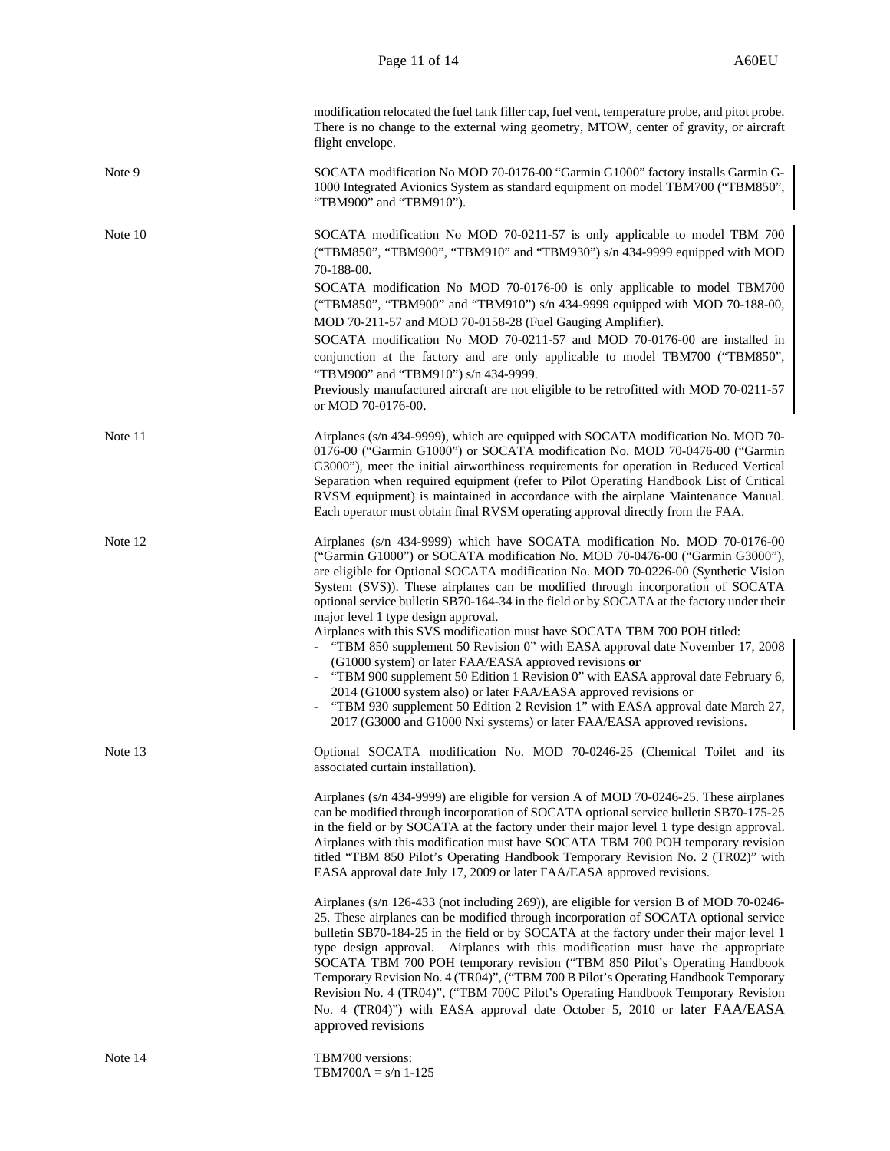|         | modification relocated the fuel tank filler cap, fuel vent, temperature probe, and pitot probe.<br>There is no change to the external wing geometry, MTOW, center of gravity, or aircraft<br>flight envelope.                                                                                                                                                                                                                                                                                                                                                                                                                                                                                                                                                                                                                                                                                                                                                                                                            |
|---------|--------------------------------------------------------------------------------------------------------------------------------------------------------------------------------------------------------------------------------------------------------------------------------------------------------------------------------------------------------------------------------------------------------------------------------------------------------------------------------------------------------------------------------------------------------------------------------------------------------------------------------------------------------------------------------------------------------------------------------------------------------------------------------------------------------------------------------------------------------------------------------------------------------------------------------------------------------------------------------------------------------------------------|
| Note 9  | SOCATA modification No MOD 70-0176-00 "Garmin G1000" factory installs Garmin G-<br>1000 Integrated Avionics System as standard equipment on model TBM700 ("TBM850",<br>"TBM900" and "TBM910").                                                                                                                                                                                                                                                                                                                                                                                                                                                                                                                                                                                                                                                                                                                                                                                                                           |
| Note 10 | SOCATA modification No MOD 70-0211-57 is only applicable to model TBM 700<br>("TBM850", "TBM900", "TBM910" and "TBM930") s/n 434-9999 equipped with MOD<br>70-188-00.<br>SOCATA modification No MOD 70-0176-00 is only applicable to model TBM700<br>("TBM850", "TBM900" and "TBM910") s/n 434-9999 equipped with MOD 70-188-00,<br>MOD 70-211-57 and MOD 70-0158-28 (Fuel Gauging Amplifier).<br>SOCATA modification No MOD 70-0211-57 and MOD 70-0176-00 are installed in<br>conjunction at the factory and are only applicable to model TBM700 ("TBM850",<br>"TBM900" and "TBM910") s/n 434-9999.<br>Previously manufactured aircraft are not eligible to be retrofitted with MOD 70-0211-57<br>or MOD 70-0176-00.                                                                                                                                                                                                                                                                                                    |
| Note 11 | Airplanes (s/n 434-9999), which are equipped with SOCATA modification No. MOD 70-<br>0176-00 ("Garmin G1000") or SOCATA modification No. MOD 70-0476-00 ("Garmin<br>G3000"), meet the initial airworthiness requirements for operation in Reduced Vertical<br>Separation when required equipment (refer to Pilot Operating Handbook List of Critical<br>RVSM equipment) is maintained in accordance with the airplane Maintenance Manual.<br>Each operator must obtain final RVSM operating approval directly from the FAA.                                                                                                                                                                                                                                                                                                                                                                                                                                                                                              |
| Note 12 | Airplanes (s/n 434-9999) which have SOCATA modification No. MOD 70-0176-00<br>("Garmin G1000") or SOCATA modification No. MOD 70-0476-00 ("Garmin G3000"),<br>are eligible for Optional SOCATA modification No. MOD 70-0226-00 (Synthetic Vision<br>System (SVS)). These airplanes can be modified through incorporation of SOCATA<br>optional service bulletin SB70-164-34 in the field or by SOCATA at the factory under their<br>major level 1 type design approval.<br>Airplanes with this SVS modification must have SOCATA TBM 700 POH titled:<br>- "TBM 850 supplement 50 Revision 0" with EASA approval date November 17, 2008<br>(G1000 system) or later FAA/EASA approved revisions or<br>- "TBM 900 supplement 50 Edition 1 Revision 0" with EASA approval date February 6,<br>2014 (G1000 system also) or later FAA/EASA approved revisions or<br>"TBM 930 supplement 50 Edition 2 Revision 1" with EASA approval date March 27,<br>2017 (G3000 and G1000 Nxi systems) or later FAA/EASA approved revisions. |
| Note 13 | Optional SOCATA modification No. MOD 70-0246-25 (Chemical Toilet and its<br>associated curtain installation).<br>Airplanes (s/n 434-9999) are eligible for version A of MOD 70-0246-25. These airplanes<br>can be modified through incorporation of SOCATA optional service bulletin SB70-175-25<br>in the field or by SOCATA at the factory under their major level 1 type design approval.<br>Airplanes with this modification must have SOCATA TBM 700 POH temporary revision<br>titled "TBM 850 Pilot's Operating Handbook Temporary Revision No. 2 (TR02)" with<br>EASA approval date July 17, 2009 or later FAA/EASA approved revisions.                                                                                                                                                                                                                                                                                                                                                                           |
|         | Airplanes (s/n 126-433 (not including 269)), are eligible for version B of MOD 70-0246-<br>25. These airplanes can be modified through incorporation of SOCATA optional service<br>bulletin SB70-184-25 in the field or by SOCATA at the factory under their major level 1<br>type design approval. Airplanes with this modification must have the appropriate<br>SOCATA TBM 700 POH temporary revision ("TBM 850 Pilot's Operating Handbook<br>Temporary Revision No. 4 (TR04)", ("TBM 700 B Pilot's Operating Handbook Temporary<br>Revision No. 4 (TR04)", ("TBM 700C Pilot's Operating Handbook Temporary Revision<br>No. 4 (TR04)") with EASA approval date October 5, 2010 or later FAA/EASA<br>approved revisions                                                                                                                                                                                                                                                                                                 |
| Note 14 | TBM700 versions:                                                                                                                                                                                                                                                                                                                                                                                                                                                                                                                                                                                                                                                                                                                                                                                                                                                                                                                                                                                                         |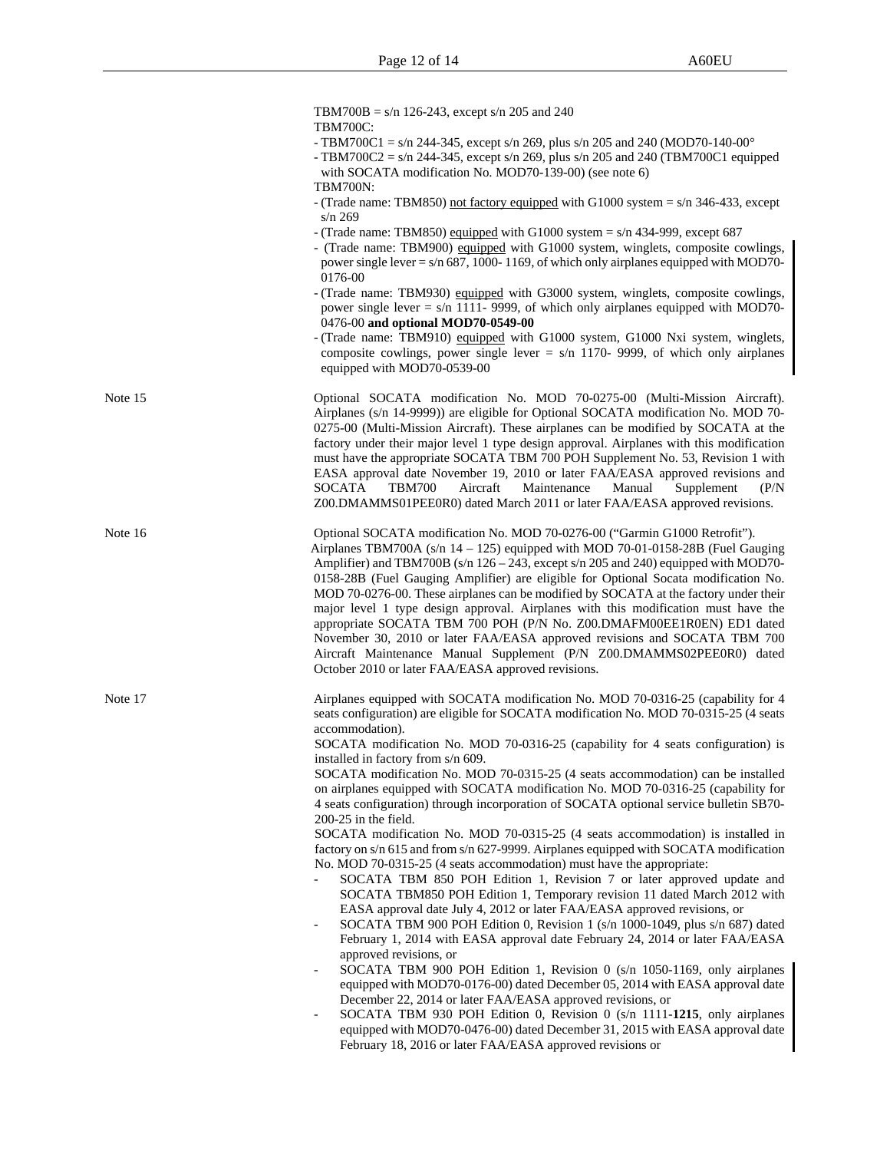|         | TBM700B = $s/n$ 126-243, except $s/n$ 205 and 240<br><b>TBM700C:</b><br>- TBM700C1 = $s/n$ 244-345, except $s/n$ 269, plus $s/n$ 205 and 240 (MOD70-140-00°<br>- TBM700C2 = $s/n$ 244-345, except $s/n$ 269, plus $s/n$ 205 and 240 (TBM700C1 equipped<br>with SOCATA modification No. MOD70-139-00) (see note 6)<br><b>TBM700N:</b><br>- (Trade name: TBM850) not factory equipped with G1000 system = $s/n$ 346-433, except<br>$s/n$ 269<br>- (Trade name: TBM850) equipped with G1000 system = $s/n$ 434-999, except 687<br>- (Trade name: TBM900) equipped with G1000 system, winglets, composite cowlings,<br>power single lever = $s/n$ 687, 1000-1169, of which only airplanes equipped with MOD70-<br>0176-00                                                                                                                                                                                                                                                                                                                                                                                                                                                                                                                                                                                                                                                                                                                                                                                                                                                                                                                                                                                                                                                 |
|---------|-----------------------------------------------------------------------------------------------------------------------------------------------------------------------------------------------------------------------------------------------------------------------------------------------------------------------------------------------------------------------------------------------------------------------------------------------------------------------------------------------------------------------------------------------------------------------------------------------------------------------------------------------------------------------------------------------------------------------------------------------------------------------------------------------------------------------------------------------------------------------------------------------------------------------------------------------------------------------------------------------------------------------------------------------------------------------------------------------------------------------------------------------------------------------------------------------------------------------------------------------------------------------------------------------------------------------------------------------------------------------------------------------------------------------------------------------------------------------------------------------------------------------------------------------------------------------------------------------------------------------------------------------------------------------------------------------------------------------------------------------------------------------|
|         | - (Trade name: TBM930) equipped with G3000 system, winglets, composite cowlings,<br>power single lever = $s/n$ 1111- 9999, of which only airplanes equipped with MOD70-<br>0476-00 and optional MOD70-0549-00<br>- (Trade name: TBM910) equipped with G1000 system, G1000 Nxi system, winglets,<br>composite cowlings, power single lever = $s/n$ 1170- 9999, of which only airplanes<br>equipped with MOD70-0539-00                                                                                                                                                                                                                                                                                                                                                                                                                                                                                                                                                                                                                                                                                                                                                                                                                                                                                                                                                                                                                                                                                                                                                                                                                                                                                                                                                  |
| Note 15 | Optional SOCATA modification No. MOD 70-0275-00 (Multi-Mission Aircraft).<br>Airplanes (s/n 14-9999)) are eligible for Optional SOCATA modification No. MOD 70-<br>0275-00 (Multi-Mission Aircraft). These airplanes can be modified by SOCATA at the<br>factory under their major level 1 type design approval. Airplanes with this modification<br>must have the appropriate SOCATA TBM 700 POH Supplement No. 53, Revision 1 with<br>EASA approval date November 19, 2010 or later FAA/EASA approved revisions and<br>Maintenance<br>SOCATA<br><b>TBM700</b><br>Aircraft<br>Manual<br>Supplement<br>(P/N)<br>Z00.DMAMMS01PEE0R0) dated March 2011 or later FAA/EASA approved revisions.                                                                                                                                                                                                                                                                                                                                                                                                                                                                                                                                                                                                                                                                                                                                                                                                                                                                                                                                                                                                                                                                            |
| Note 16 | Optional SOCATA modification No. MOD 70-0276-00 ("Garmin G1000 Retrofit").<br>Airplanes TBM700A (s/n $14 - 125$ ) equipped with MOD 70-01-0158-28B (Fuel Gauging<br>Amplifier) and TBM700B (s/n 126 – 243, except s/n 205 and 240) equipped with MOD70-<br>0158-28B (Fuel Gauging Amplifier) are eligible for Optional Socata modification No.<br>MOD 70-0276-00. These airplanes can be modified by SOCATA at the factory under their<br>major level 1 type design approval. Airplanes with this modification must have the<br>appropriate SOCATA TBM 700 POH (P/N No. Z00.DMAFM00EE1R0EN) ED1 dated<br>November 30, 2010 or later FAA/EASA approved revisions and SOCATA TBM 700<br>Aircraft Maintenance Manual Supplement (P/N Z00.DMAMMS02PEE0R0) dated<br>October 2010 or later FAA/EASA approved revisions.                                                                                                                                                                                                                                                                                                                                                                                                                                                                                                                                                                                                                                                                                                                                                                                                                                                                                                                                                     |
| Note 17 | Airplanes equipped with SOCATA modification No. MOD 70-0316-25 (capability for 4<br>seats configuration) are eligible for SOCATA modification No. MOD 70-0315-25 (4 seats<br>accommodation).<br>SOCATA modification No. MOD 70-0316-25 (capability for 4 seats configuration) is<br>installed in factory from s/n 609.<br>SOCATA modification No. MOD 70-0315-25 (4 seats accommodation) can be installed<br>on airplanes equipped with SOCATA modification No. MOD 70-0316-25 (capability for<br>4 seats configuration) through incorporation of SOCATA optional service bulletin SB70-<br>200-25 in the field.<br>SOCATA modification No. MOD 70-0315-25 (4 seats accommodation) is installed in<br>factory on s/n 615 and from s/n 627-9999. Airplanes equipped with SOCATA modification<br>No. MOD 70-0315-25 (4 seats accommodation) must have the appropriate:<br>SOCATA TBM 850 POH Edition 1, Revision 7 or later approved update and<br>SOCATA TBM850 POH Edition 1, Temporary revision 11 dated March 2012 with<br>EASA approval date July 4, 2012 or later FAA/EASA approved revisions, or<br>SOCATA TBM 900 POH Edition 0, Revision 1 (s/n 1000-1049, plus s/n 687) dated<br>February 1, 2014 with EASA approval date February 24, 2014 or later FAA/EASA<br>approved revisions, or<br>SOCATA TBM 900 POH Edition 1, Revision 0 (s/n 1050-1169, only airplanes<br>$\qquad \qquad -$<br>equipped with MOD70-0176-00) dated December 05, 2014 with EASA approval date<br>December 22, 2014 or later FAA/EASA approved revisions, or<br>SOCATA TBM 930 POH Edition 0, Revision 0 (s/n 1111-1215, only airplanes<br>equipped with MOD70-0476-00) dated December 31, 2015 with EASA approval date<br>February 18, 2016 or later FAA/EASA approved revisions or |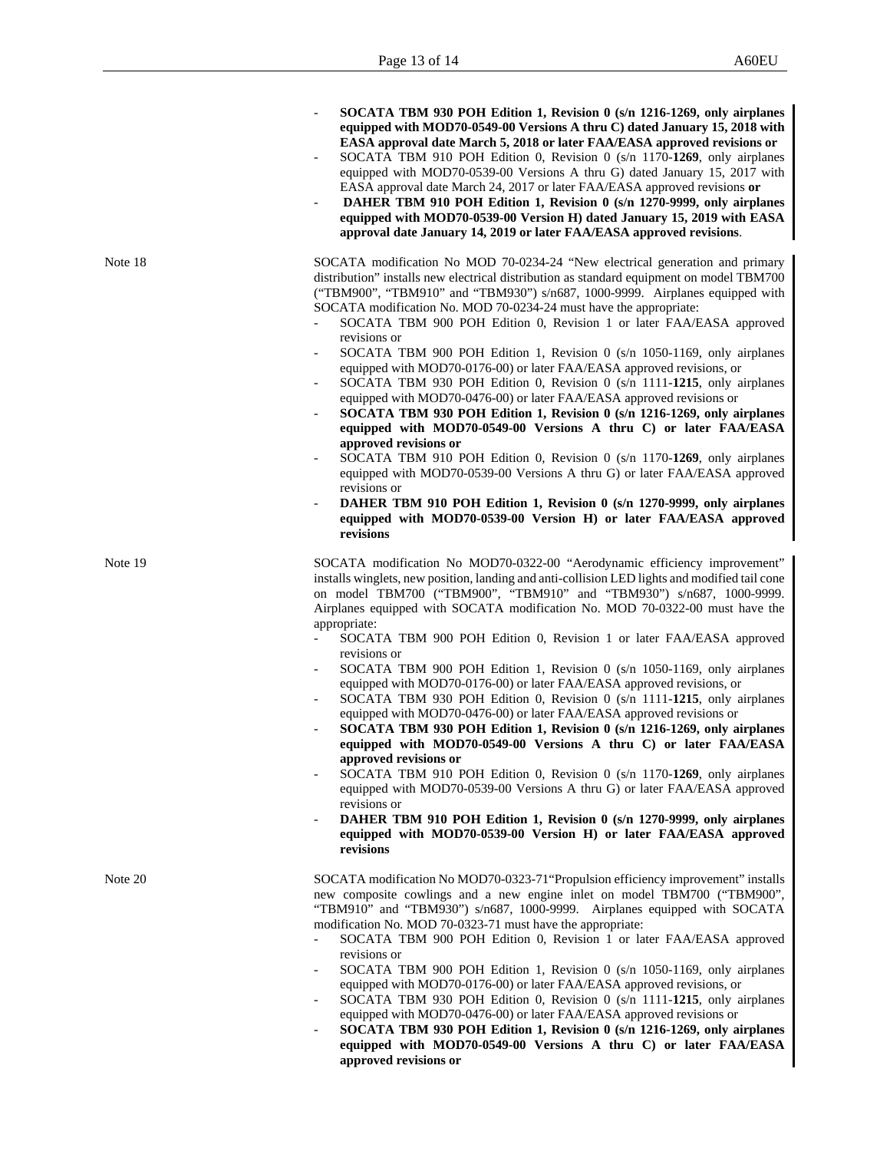|         | SOCATA TBM 930 POH Edition 1, Revision $0$ (s/n 1216-1269, only airplanes<br>equipped with MOD70-0549-00 Versions A thru C) dated January 15, 2018 with<br>EASA approval date March 5, 2018 or later FAA/EASA approved revisions or<br>SOCATA TBM 910 POH Edition 0, Revision 0 (s/n 1170-1269, only airplanes<br>$\overline{\phantom{a}}$<br>equipped with MOD70-0539-00 Versions A thru G) dated January 15, 2017 with<br>EASA approval date March 24, 2017 or later FAA/EASA approved revisions or<br>DAHER TBM 910 POH Edition 1, Revision 0 (s/n 1270-9999, only airplanes<br>equipped with MOD70-0539-00 Version H) dated January 15, 2019 with EASA<br>approval date January 14, 2019 or later FAA/EASA approved revisions.                                                                                                                                                                                                                                                                                                                                                                                                                                                                                                                                                                                   |
|---------|----------------------------------------------------------------------------------------------------------------------------------------------------------------------------------------------------------------------------------------------------------------------------------------------------------------------------------------------------------------------------------------------------------------------------------------------------------------------------------------------------------------------------------------------------------------------------------------------------------------------------------------------------------------------------------------------------------------------------------------------------------------------------------------------------------------------------------------------------------------------------------------------------------------------------------------------------------------------------------------------------------------------------------------------------------------------------------------------------------------------------------------------------------------------------------------------------------------------------------------------------------------------------------------------------------------------|
| Note 18 | SOCATA modification No MOD 70-0234-24 "New electrical generation and primary<br>distribution" installs new electrical distribution as standard equipment on model TBM700<br>("TBM900", "TBM910" and "TBM930") s/n687, 1000-9999. Airplanes equipped with<br>SOCATA modification No. MOD 70-0234-24 must have the appropriate:<br>SOCATA TBM 900 POH Edition 0, Revision 1 or later FAA/EASA approved<br>revisions or<br>SOCATA TBM 900 POH Edition 1, Revision 0 (s/n 1050-1169, only airplanes<br>equipped with MOD70-0176-00) or later FAA/EASA approved revisions, or<br>SOCATA TBM 930 POH Edition 0, Revision 0 (s/n 1111-1215, only airplanes<br>equipped with MOD70-0476-00) or later FAA/EASA approved revisions or<br>SOCATA TBM 930 POH Edition 1, Revision 0 (s/n 1216-1269, only airplanes<br>equipped with MOD70-0549-00 Versions A thru C) or later FAA/EASA<br>approved revisions or<br>SOCATA TBM 910 POH Edition 0, Revision 0 (s/n 1170-1269, only airplanes<br>$\overline{\phantom{a}}$<br>equipped with MOD70-0539-00 Versions A thru G) or later FAA/EASA approved<br>revisions or<br>DAHER TBM 910 POH Edition 1, Revision 0 (s/n 1270-9999, only airplanes<br>$\overline{\phantom{0}}$<br>equipped with MOD70-0539-00 Version H) or later FAA/EASA approved<br>revisions                      |
| Note 19 | SOCATA modification No MOD70-0322-00 "Aerodynamic efficiency improvement"<br>installs winglets, new position, landing and anti-collision LED lights and modified tail cone<br>on model TBM700 ("TBM900", "TBM910" and "TBM930") s/n687, 1000-9999.<br>Airplanes equipped with SOCATA modification No. MOD 70-0322-00 must have the<br>appropriate:<br>SOCATA TBM 900 POH Edition 0, Revision 1 or later FAA/EASA approved<br>revisions or<br>SOCATA TBM 900 POH Edition 1, Revision 0 (s/n 1050-1169, only airplanes<br>$\overline{\phantom{0}}$<br>equipped with MOD70-0176-00) or later FAA/EASA approved revisions, or<br>SOCATA TBM 930 POH Edition 0, Revision 0 (s/n 1111-1215, only airplanes<br>equipped with MOD70-0476-00) or later FAA/EASA approved revisions or<br>SOCATA TBM 930 POH Edition 1, Revision 0 (s/n 1216-1269, only airplanes<br>equipped with MOD70-0549-00 Versions A thru C) or later FAA/EASA<br>approved revisions or<br>SOCATA TBM 910 POH Edition 0, Revision 0 (s/n 1170-1269, only airplanes<br>equipped with MOD70-0539-00 Versions A thru G) or later FAA/EASA approved<br>revisions or<br>DAHER TBM 910 POH Edition 1, Revision 0 (s/n 1270-9999, only airplanes<br>$\overline{\phantom{a}}$<br>equipped with MOD70-0539-00 Version H) or later FAA/EASA approved<br>revisions |
| Note 20 | SOCATA modification No MOD70-0323-71 "Propulsion efficiency improvement" installs<br>new composite cowlings and a new engine inlet on model TBM700 ("TBM900",<br>"TBM910" and "TBM930") s/n687, 1000-9999. Airplanes equipped with SOCATA<br>modification No. MOD 70-0323-71 must have the appropriate:<br>SOCATA TBM 900 POH Edition 0, Revision 1 or later FAA/EASA approved<br>$\overline{\phantom{0}}$<br>revisions or<br>SOCATA TBM 900 POH Edition 1, Revision 0 (s/n 1050-1169, only airplanes<br>equipped with MOD70-0176-00) or later FAA/EASA approved revisions, or<br>SOCATA TBM 930 POH Edition 0, Revision 0 (s/n 1111-1215, only airplanes<br>equipped with MOD70-0476-00) or later FAA/EASA approved revisions or<br>SOCATA TBM 930 POH Edition 1, Revision $0$ (s/n 1216-1269, only airplanes<br>equipped with MOD70-0549-00 Versions A thru C) or later FAA/EASA<br>approved revisions or                                                                                                                                                                                                                                                                                                                                                                                                          |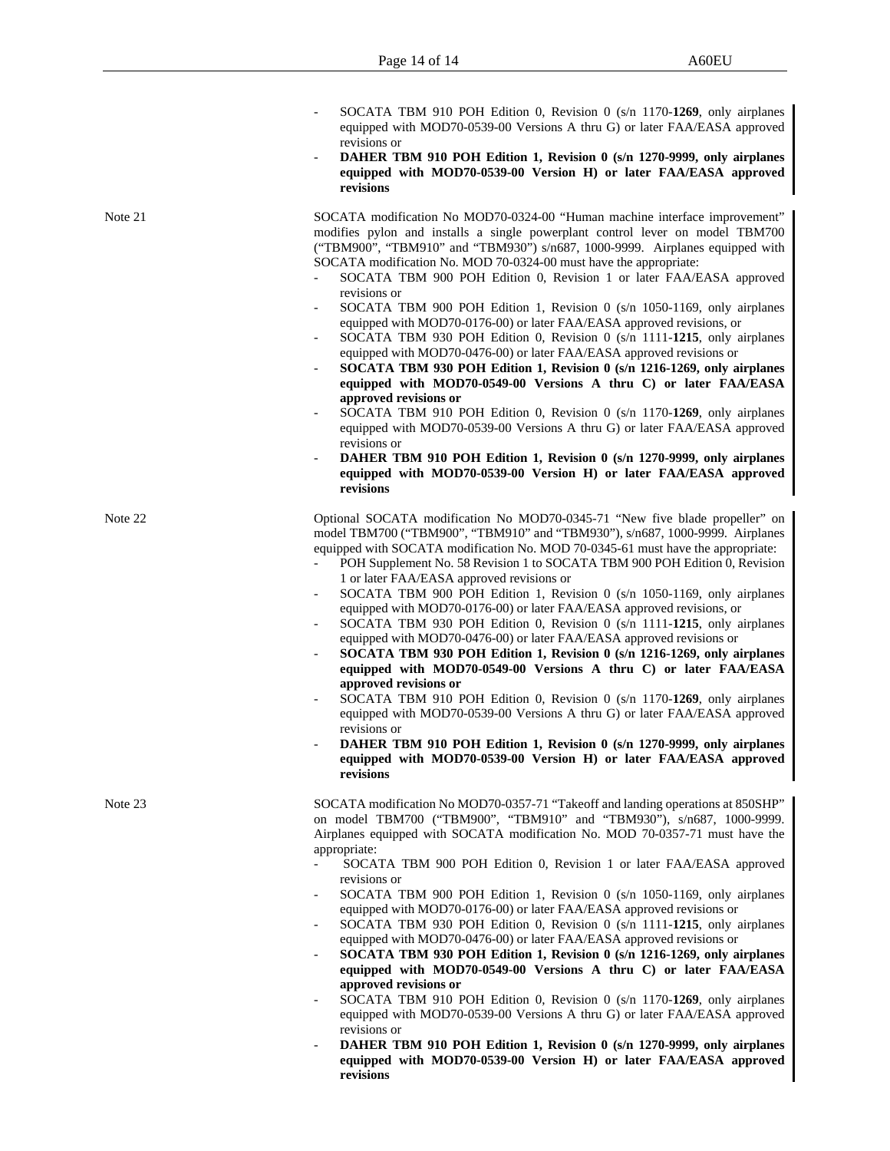|         | SOCATA TBM 910 POH Edition 0, Revision 0 (s/n 1170-1269, only airplanes<br>equipped with MOD70-0539-00 Versions A thru G) or later FAA/EASA approved<br>revisions or<br>DAHER TBM 910 POH Edition 1, Revision 0 (s/n 1270-9999, only airplanes<br>equipped with MOD70-0539-00 Version H) or later FAA/EASA approved<br>revisions                                                                                                                                                                                                                                                                                                                                                                                                                                                                                                                                                                                                                                                                                                                                                                                                                                                                                                                                                                                 |
|---------|------------------------------------------------------------------------------------------------------------------------------------------------------------------------------------------------------------------------------------------------------------------------------------------------------------------------------------------------------------------------------------------------------------------------------------------------------------------------------------------------------------------------------------------------------------------------------------------------------------------------------------------------------------------------------------------------------------------------------------------------------------------------------------------------------------------------------------------------------------------------------------------------------------------------------------------------------------------------------------------------------------------------------------------------------------------------------------------------------------------------------------------------------------------------------------------------------------------------------------------------------------------------------------------------------------------|
| Note 21 | SOCATA modification No MOD70-0324-00 "Human machine interface improvement"<br>modifies pylon and installs a single powerplant control lever on model TBM700<br>("TBM900", "TBM910" and "TBM930") s/n687, 1000-9999. Airplanes equipped with<br>SOCATA modification No. MOD 70-0324-00 must have the appropriate:<br>SOCATA TBM 900 POH Edition 0, Revision 1 or later FAA/EASA approved<br>revisions or<br>SOCATA TBM 900 POH Edition 1, Revision 0 (s/n 1050-1169, only airplanes<br>$\overline{\phantom{a}}$<br>equipped with MOD70-0176-00) or later FAA/EASA approved revisions, or<br>SOCATA TBM 930 POH Edition 0, Revision 0 (s/n 1111-1215, only airplanes<br>$\overline{\phantom{a}}$<br>equipped with MOD70-0476-00) or later FAA/EASA approved revisions or<br>SOCATA TBM 930 POH Edition 1, Revision $0$ (s/n 1216-1269, only airplanes<br>equipped with MOD70-0549-00 Versions A thru C) or later FAA/EASA<br>approved revisions or<br>SOCATA TBM 910 POH Edition 0, Revision 0 (s/n 1170-1269, only airplanes<br>equipped with MOD70-0539-00 Versions A thru G) or later FAA/EASA approved<br>revisions or<br>DAHER TBM 910 POH Edition 1, Revision 0 (s/n 1270-9999, only airplanes<br>$\overline{\phantom{a}}$<br>equipped with MOD70-0539-00 Version H) or later FAA/EASA approved<br>revisions |
| Note 22 | Optional SOCATA modification No MOD70-0345-71 "New five blade propeller" on<br>model TBM700 ("TBM900", "TBM910" and "TBM930"), s/n687, 1000-9999. Airplanes<br>equipped with SOCATA modification No. MOD 70-0345-61 must have the appropriate:<br>POH Supplement No. 58 Revision 1 to SOCATA TBM 900 POH Edition 0, Revision<br>$\overline{\phantom{a}}$<br>1 or later FAA/EASA approved revisions or<br>SOCATA TBM 900 POH Edition 1, Revision 0 (s/n 1050-1169, only airplanes<br>equipped with MOD70-0176-00) or later FAA/EASA approved revisions, or<br>SOCATA TBM 930 POH Edition 0, Revision 0 (s/n 1111-1215, only airplanes<br>equipped with MOD70-0476-00) or later FAA/EASA approved revisions or<br>SOCATA TBM 930 POH Edition 1, Revision 0 (s/n 1216-1269, only airplanes<br>equipped with MOD70-0549-00 Versions A thru C) or later FAA/EASA<br>approved revisions or<br>SOCATA TBM 910 POH Edition 0, Revision 0 (s/n 1170-1269, only airplanes<br>equipped with MOD70-0539-00 Versions A thru G) or later FAA/EASA approved<br>revisions or<br>DAHER TBM 910 POH Edition 1, Revision 0 (s/n 1270-9999, only airplanes<br>equipped with MOD70-0539-00 Version H) or later FAA/EASA approved<br>revisions                                                                                         |
| Note 23 | SOCATA modification No MOD70-0357-71 "Takeoff and landing operations at 850SHP"<br>on model TBM700 ("TBM900", "TBM910" and "TBM930"), s/n687, 1000-9999.<br>Airplanes equipped with SOCATA modification No. MOD 70-0357-71 must have the<br>appropriate:<br>SOCATA TBM 900 POH Edition 0, Revision 1 or later FAA/EASA approved<br>revisions or<br>SOCATA TBM 900 POH Edition 1, Revision 0 (s/n 1050-1169, only airplanes<br>$\overline{\phantom{a}}$<br>equipped with MOD70-0176-00) or later FAA/EASA approved revisions or<br>SOCATA TBM 930 POH Edition 0, Revision 0 (s/n 1111-1215, only airplanes<br>equipped with MOD70-0476-00) or later FAA/EASA approved revisions or<br>SOCATA TBM 930 POH Edition 1, Revision $0$ (s/n 1216-1269, only airplanes<br>$\overline{\phantom{a}}$<br>equipped with MOD70-0549-00 Versions A thru C) or later FAA/EASA<br>approved revisions or<br>SOCATA TBM 910 POH Edition 0, Revision 0 (s/n 1170-1269, only airplanes<br>$\overline{\phantom{a}}$<br>equipped with MOD70-0539-00 Versions A thru G) or later FAA/EASA approved<br>revisions or<br>DAHER TBM 910 POH Edition 1, Revision 0 (s/n 1270-9999, only airplanes<br>equipped with MOD70-0539-00 Version H) or later FAA/EASA approved<br>revisions                                                          |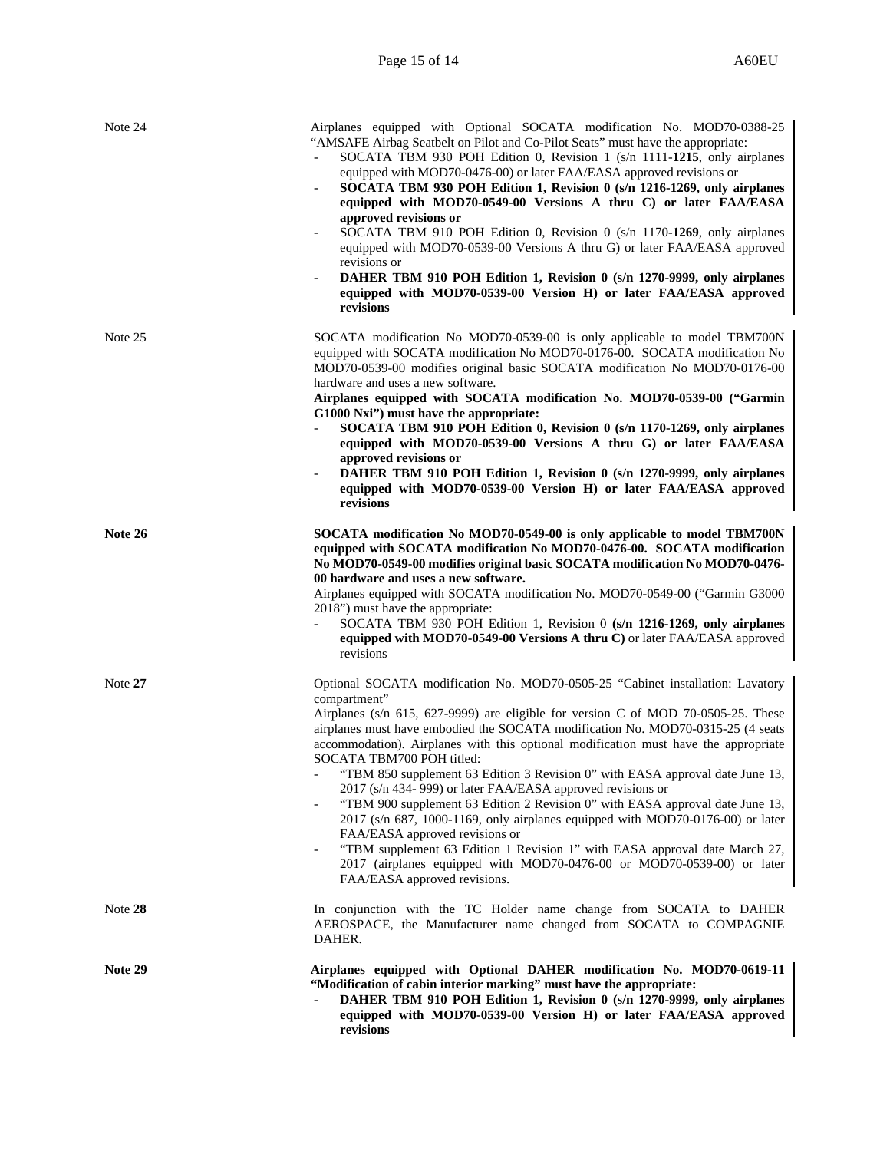| Note 24 | Airplanes equipped with Optional SOCATA modification No. MOD70-0388-25<br>"AMSAFE Airbag Seatbelt on Pilot and Co-Pilot Seats" must have the appropriate:<br>SOCATA TBM 930 POH Edition 0, Revision 1 (s/n 1111-1215, only airplanes<br>equipped with MOD70-0476-00) or later FAA/EASA approved revisions or<br>SOCATA TBM 930 POH Edition 1, Revision 0 (s/n 1216-1269, only airplanes<br>equipped with MOD70-0549-00 Versions A thru C) or later FAA/EASA<br>approved revisions or<br>SOCATA TBM 910 POH Edition 0, Revision 0 (s/n 1170-1269, only airplanes<br>$\overline{\phantom{a}}$<br>equipped with MOD70-0539-00 Versions A thru G) or later FAA/EASA approved<br>revisions or<br>DAHER TBM 910 POH Edition 1, Revision 0 (s/n 1270-9999, only airplanes<br>$\overline{\phantom{a}}$<br>equipped with MOD70-0539-00 Version H) or later FAA/EASA approved<br>revisions                                                         |
|---------|------------------------------------------------------------------------------------------------------------------------------------------------------------------------------------------------------------------------------------------------------------------------------------------------------------------------------------------------------------------------------------------------------------------------------------------------------------------------------------------------------------------------------------------------------------------------------------------------------------------------------------------------------------------------------------------------------------------------------------------------------------------------------------------------------------------------------------------------------------------------------------------------------------------------------------------|
| Note 25 | SOCATA modification No MOD70-0539-00 is only applicable to model TBM700N<br>equipped with SOCATA modification No MOD70-0176-00. SOCATA modification No<br>MOD70-0539-00 modifies original basic SOCATA modification No MOD70-0176-00<br>hardware and uses a new software.<br>Airplanes equipped with SOCATA modification No. MOD70-0539-00 ("Garmin<br>G1000 Nxi") must have the appropriate:<br>SOCATA TBM 910 POH Edition 0, Revision 0 (s/n 1170-1269, only airplanes<br>equipped with MOD70-0539-00 Versions A thru G) or later FAA/EASA<br>approved revisions or<br>DAHER TBM 910 POH Edition 1, Revision 0 (s/n 1270-9999, only airplanes<br>equipped with MOD70-0539-00 Version H) or later FAA/EASA approved<br>revisions                                                                                                                                                                                                        |
| Note 26 | SOCATA modification No MOD70-0549-00 is only applicable to model TBM700N<br>equipped with SOCATA modification No MOD70-0476-00. SOCATA modification<br>No MOD70-0549-00 modifies original basic SOCATA modification No MOD70-0476-<br>00 hardware and uses a new software.<br>Airplanes equipped with SOCATA modification No. MOD70-0549-00 ("Garmin G3000<br>2018") must have the appropriate:<br>SOCATA TBM 930 POH Edition 1, Revision 0 (s/n 1216-1269, only airplanes<br>equipped with MOD70-0549-00 Versions A thru C) or later FAA/EASA approved<br>revisions                                                                                                                                                                                                                                                                                                                                                                     |
| Note 27 | Optional SOCATA modification No. MOD70-0505-25 "Cabinet installation: Lavatory<br>compartment"<br>Airplanes (s/n 615, 627-9999) are eligible for version C of MOD 70-0505-25. These<br>airplanes must have embodied the SOCATA modification No. MOD70-0315-25 (4 seats<br>accommodation). Airplanes with this optional modification must have the appropriate<br>SOCATA TBM700 POH titled:<br>"TBM 850 supplement 63 Edition 3 Revision 0" with EASA approval date June 13,<br>2017 (s/n 434-999) or later FAA/EASA approved revisions or<br>"TBM 900 supplement 63 Edition 2 Revision 0" with EASA approval date June 13,<br>$2017$ (s/n 687, 1000-1169, only airplanes equipped with MOD70-0176-00) or later<br>FAA/EASA approved revisions or<br>"TBM supplement 63 Edition 1 Revision 1" with EASA approval date March 27,<br>2017 (airplanes equipped with MOD70-0476-00 or MOD70-0539-00) or later<br>FAA/EASA approved revisions. |
| Note 28 | In conjunction with the TC Holder name change from SOCATA to DAHER<br>AEROSPACE, the Manufacturer name changed from SOCATA to COMPAGNIE<br>DAHER.                                                                                                                                                                                                                                                                                                                                                                                                                                                                                                                                                                                                                                                                                                                                                                                        |
| Note 29 | Airplanes equipped with Optional DAHER modification No. MOD70-0619-11<br>"Modification of cabin interior marking" must have the appropriate:<br>DAHER TBM 910 POH Edition 1, Revision 0 (s/n 1270-9999, only airplanes<br>equipped with MOD70-0539-00 Version H) or later FAA/EASA approved<br>revisions                                                                                                                                                                                                                                                                                                                                                                                                                                                                                                                                                                                                                                 |